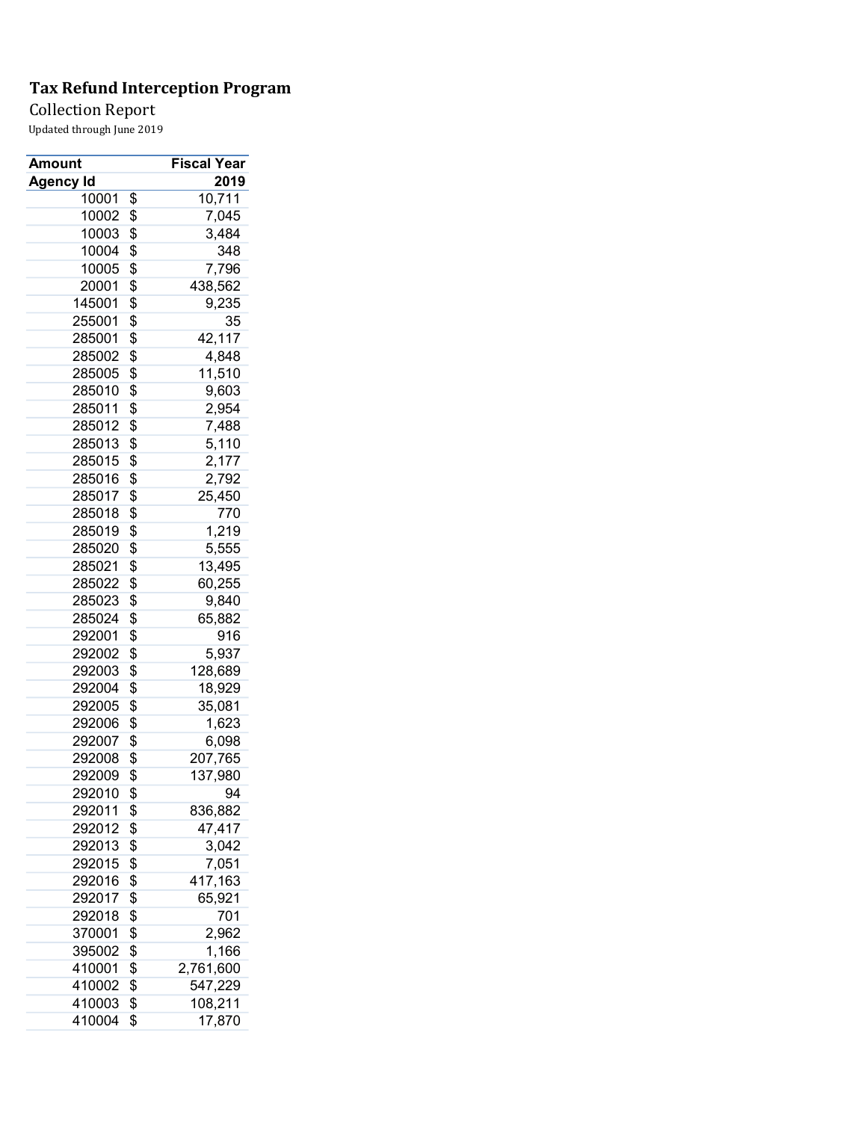### Collection Report

| Amount           | Fiscal Year     |
|------------------|-----------------|
| <b>Agency Id</b> | 2019            |
| 10001            | \$<br>10,711    |
| 10002            | \$<br>7,045     |
| 10003            | \$<br>3,484     |
| 10004            | \$<br>348       |
| 10005            | \$<br>7,796     |
| 20001            | \$<br>438,562   |
| 145001           | \$<br>9,235     |
| 255001           | \$<br>35        |
| 285001           | \$<br>42,117    |
| 285002           | \$<br>4,848     |
| 285005           | \$<br>11,510    |
| 285010           | \$<br>9,603     |
| 285011           | \$<br>2,954     |
| 285012           | \$<br>7,488     |
| 285013           | \$<br>5,110     |
| 285015           | \$<br>2,177     |
| 285016           | \$<br>2,792     |
| 285017           | \$<br>25,450    |
| 285018           | \$<br>770       |
| 285019           | \$<br>1,219     |
| 285020           | \$<br>5,555     |
| 285021           | \$<br>13,495    |
| 285022           | \$<br>60,255    |
| 285023           | \$<br>9,840     |
| 285024           | \$<br>65,882    |
| 292001           | \$<br>916       |
| 292002           | \$<br>5,937     |
| 292003           | \$<br>128,689   |
| 292004           | \$<br>18,929    |
| 292005           | \$<br>35,081    |
| 292006           | \$<br>1,623     |
| 292007           | \$<br>6,098     |
| 292008           | \$<br>207,765   |
| 292009           | \$<br>137,980   |
| 292010           | \$<br>94        |
| 292011           | \$<br>836,882   |
| 292012           | \$<br>47,417    |
| 292013           | \$<br>3,042     |
| 292015           | \$<br>7,051     |
| 292016           | \$<br>417,163   |
|                  | \$<br>65,921    |
| 292017<br>292018 | \$<br>701       |
|                  | \$              |
| 370001           | 2,962           |
| 395002           | \$<br>1,166     |
| 410001           | \$<br>2,761,600 |
| 410002           | \$<br>547,229   |
| 410003           | \$<br>108,211   |
| 410004           | \$<br>17,870    |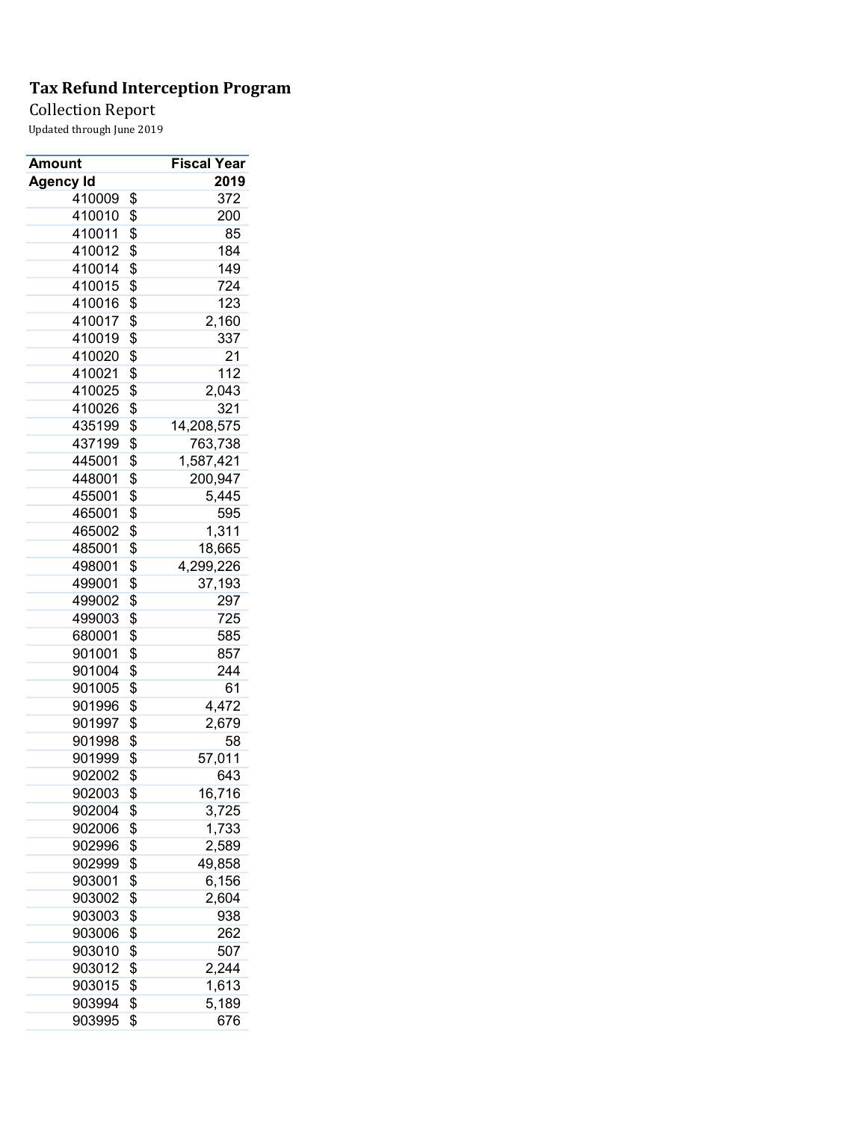Collection Report

| Amount           | Fiscal Year      |
|------------------|------------------|
| <b>Agency Id</b> | 2019             |
| 410009           | \$<br>372        |
| 410010           | \$<br>200        |
| 410011           | \$<br>85         |
| 410012           | \$<br>184        |
| 410014           | \$<br>149        |
| 410015           | \$<br>724        |
| 410016           | \$<br>123        |
| 410017           | \$<br>2,160      |
| 410019           | \$<br>337        |
| 410020           | \$<br>21         |
| 410021           | \$<br>112        |
| 410025           | \$<br>2,043      |
| 410026           | \$<br>321        |
| 435199           | \$<br>14,208,575 |
| 437199           | \$<br>763,738    |
| 445001           | \$<br>1,587,421  |
| 448001           | \$<br>200,947    |
| 455001           | \$<br>5,445      |
| 465001           | \$<br>595        |
| 465002           | \$<br>1,311      |
| 485001           | \$<br>18,665     |
| 498001           | \$<br>4,299,226  |
| 499001           | \$<br>37,193     |
| 499002           | \$<br>297        |
| 499003           | \$<br>725        |
| 680001           | \$<br>585        |
| 901001           | \$<br>857        |
| 901004           | \$<br>244        |
| 901005           | \$<br>61         |
| 901996           | \$<br>4,472      |
| 901997           | \$<br>2,679      |
| 901998           | \$<br>58         |
| 901999           | \$<br>57,011     |
| 902002           | \$<br>643        |
| 902003           | \$<br>16,716     |
| 902004           | \$<br>3,725      |
| 902006           | \$<br>1,733      |
| 902996           | \$<br>2,589      |
| 902999           | \$<br>49,858     |
| 903001           | \$<br>6,156      |
| 903002           | \$<br>2,604      |
| 903003           | \$<br>938        |
| 903006           | \$<br>262        |
| 903010           | \$<br>507        |
| 903012           | \$<br>2,244      |
| 903015           | \$<br>1,613      |
| 903994           | \$<br>5,189      |
| 903995           | \$<br>676        |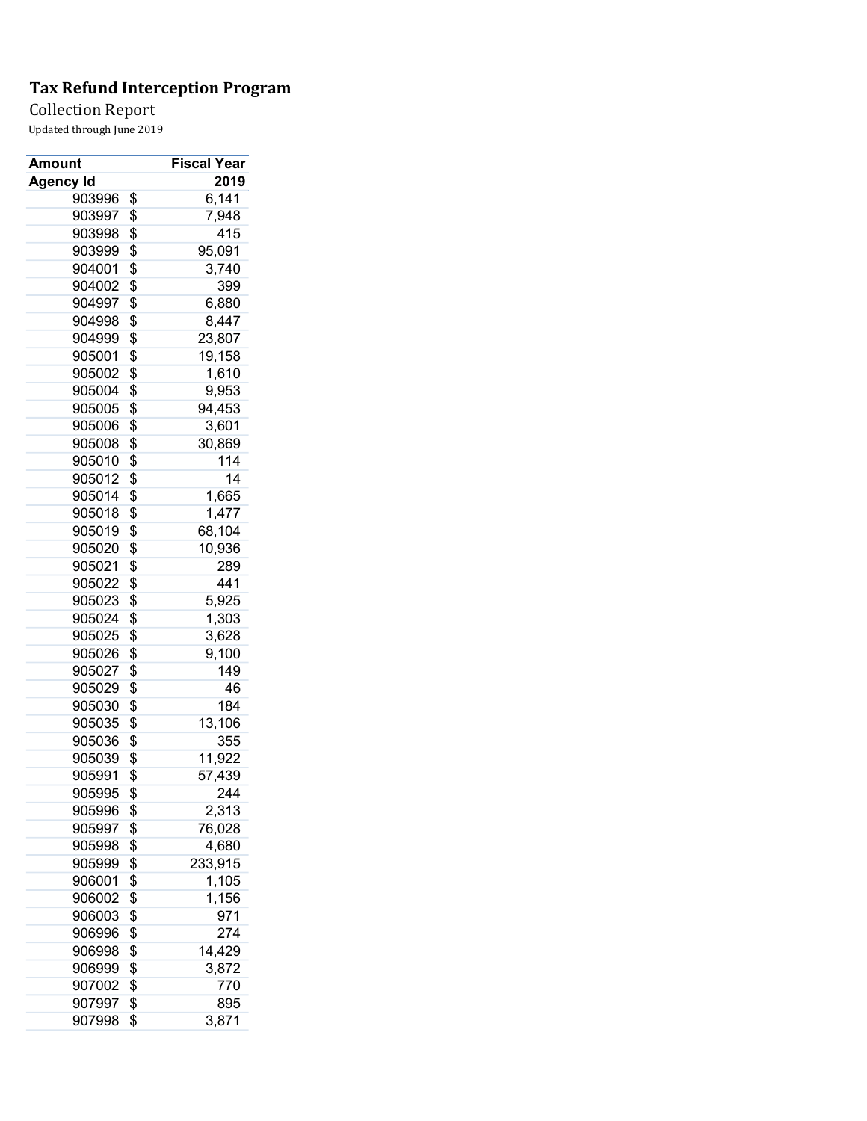### Collection Report

| Amount           | Fiscal Year   |
|------------------|---------------|
| <b>Agency Id</b> | 2019          |
| 903996           | \$<br>6,141   |
| 903997           | \$<br>7,948   |
| 903998           | \$<br>415     |
| 903999           | \$<br>95,091  |
| 904001           | \$<br>3,740   |
| 904002           | \$<br>399     |
| 904997           | \$<br>6,880   |
| 904998           | \$<br>8,447   |
| 904999           | \$<br>23,807  |
| 905001           | \$<br>19,158  |
| 905002           | \$<br>1,610   |
| 905004           | \$<br>9,953   |
| 905005           | \$<br>94,453  |
| 905006           | \$<br>3,601   |
| 905008           | \$<br>30,869  |
| 905010           | \$<br>114     |
| 905012           | \$<br>14      |
| 905014           | \$<br>1,665   |
| 905018           | \$<br>1,477   |
| 905019           | \$<br>68,104  |
| 905020           | \$<br>10,936  |
| 905021           | \$<br>289     |
| 905022           | \$<br>441     |
| 905023           | \$<br>5,925   |
| 905024           | \$<br>1,303   |
| 905025           | \$<br>3,628   |
| 905026           | \$<br>9,100   |
| 905027           | \$<br>149     |
| 905029           | \$<br>46      |
| 905030           | \$<br>184     |
| 905035           | \$<br>13,106  |
| 905036           | \$<br>355     |
|                  |               |
| 905039           | \$<br>11,922  |
| 905991           | \$<br>57,439  |
| 905995           | \$<br>244     |
| 905996           | \$<br>2,313   |
| 905997           | \$<br>76,028  |
| 905998           | \$<br>4,680   |
| 905999           | \$<br>233,915 |
| 906001           | \$<br>1,105   |
| 906002           | \$<br>1,156   |
| 906003           | \$<br>971     |
| 906996           | \$<br>274     |
| 906998           | \$<br>14,429  |
| 906999           | \$<br>3,872   |
| 907002           | \$<br>770     |
| 907997           | \$<br>895     |
| 907998           | \$<br>3,871   |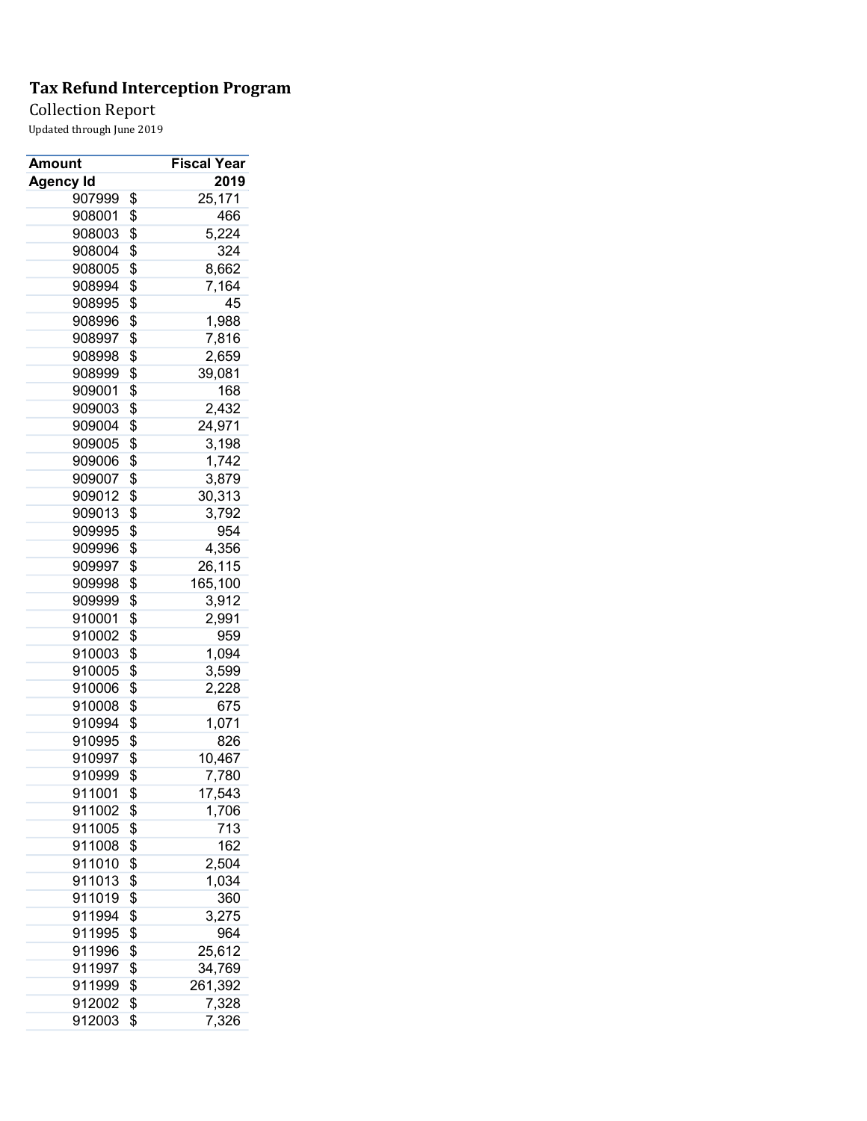Collection Report

| Amount           | <b>Fiscal Year</b> |
|------------------|--------------------|
| <b>Agency Id</b> | 2019               |
| 907999           | \$<br>25,171       |
| 908001           | \$<br>466          |
| 908003           | \$<br>5,224        |
| 908004           | \$<br>324          |
| 908005           | \$<br>8,662        |
| 908994           | \$<br>7,164        |
| 908995           | \$<br>45           |
| 908996           | \$<br>1,988        |
| 908997           | \$<br>7,816        |
| 908998           | \$<br>2,659        |
| 908999           | \$<br>39,081       |
| 909001           | \$<br>168          |
| 909003           | \$<br>2,432        |
| 909004           | \$<br>24,971       |
| 909005           | \$<br>3,198        |
| 909006           | \$<br>1,742        |
| 909007           | \$<br>3,879        |
| 909012           | \$<br>30,313       |
| 909013           | \$<br>3,792        |
| 909995           | \$<br>954          |
| 909996           | \$<br>4,356        |
| 909997           | \$<br>26,115       |
| 909998           | \$<br>165,100      |
| 909999           | \$<br>3,912        |
| 910001           | \$<br>2,991        |
| 910002           | \$<br>959          |
| 910003           | \$<br>1,094        |
| 910005           | \$<br>3,599        |
| 910006           | \$<br>2,228        |
| 910008           | \$<br>675          |
| 910994           | \$<br>1,071        |
| 910995           | \$<br>826          |
| 910997           | \$<br>10,467       |
| 910999           | \$<br>7,780        |
| 911001           | \$<br>17,543       |
| 911002           | \$<br>1,706        |
| 911005           | \$<br>713          |
| 911008           | \$<br>162          |
| 911010           | \$<br>2,504        |
| 911013           | \$<br>1,034        |
| 911019           | \$<br>360          |
| 911994           | \$<br>3,275        |
| 911995           | \$<br>964          |
| 911996           | \$<br>25,612       |
| 911997           | \$<br>34,769       |
| 911999           | \$<br>261,392      |
| 912002           | \$<br>7,328        |
| 912003           | \$<br>7,326        |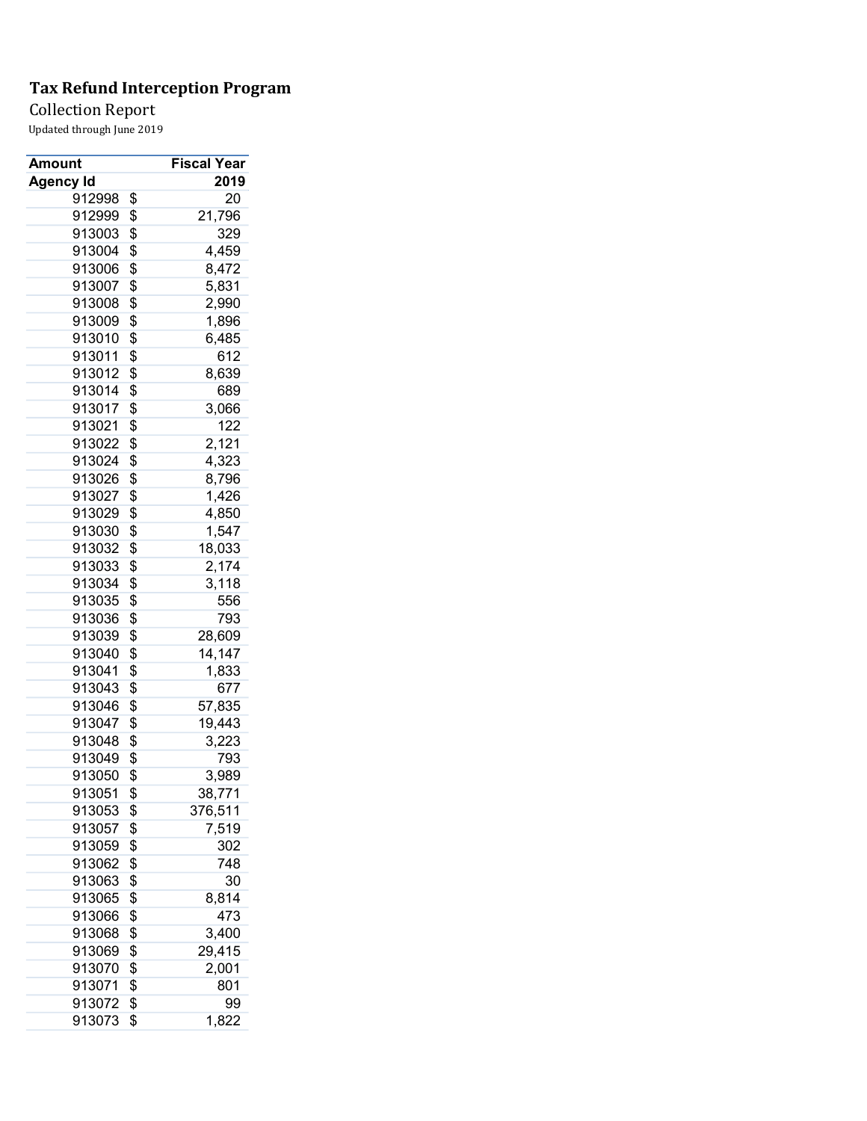Collection Report

| Amount           | <b>Fiscal Year</b> |
|------------------|--------------------|
| <b>Agency Id</b> | 2019               |
| 912998           | \$<br>20           |
| 912999           | \$<br>21,796       |
| 913003           | \$<br>329          |
| 913004           | \$<br>4,459        |
| 913006           | \$<br>8,472        |
| 913007           | \$<br>5,831        |
| 913008           | \$<br>2,990        |
| 913009           | \$<br>1,896        |
| 913010           | \$<br>6,485        |
| 913011           | \$<br>612          |
| 913012           | \$<br>8,639        |
| 913014           | \$<br>689          |
| 913017           | \$<br>3,066        |
| 913021           | \$<br>122          |
| 913022           | \$<br>2,121        |
| 913024           | \$<br>4,323        |
| 913026           | \$<br>8,796        |
| 913027           | \$<br>1,426        |
| 913029           | \$<br>4,850        |
| 913030           | \$<br>1,547        |
| 913032           | \$<br>18,033       |
| 913033           | \$<br>2,174        |
| 913034           | \$<br>3,118        |
| 913035           | \$<br>556          |
| 913036           | \$<br>793          |
| 913039           | \$<br>28,609       |
| 913040           | \$<br>14,147       |
| 913041           | \$<br>1,833        |
| 913043           | \$<br>677          |
| 913046           | \$<br>57,835       |
| 913047           | \$<br>19,443       |
| 913048           | \$<br>3,223        |
| 913049           | \$<br>793          |
| 913050           | \$<br>3,989        |
| 913051           | \$<br>38,771       |
| 913053           | \$<br>376,511      |
| 913057           | \$<br>7,519        |
| 913059           | \$<br>302          |
| 913062           | \$<br>748          |
|                  |                    |
| 913063           | \$<br>30           |
| 913065           | \$<br>8,814        |
| 913066           | \$<br>473          |
| 913068           | \$<br>3,400        |
| 913069           | \$<br>29,415       |
| 913070           | \$<br>2,001        |
| 913071           | \$<br>801          |
| 913072           | \$<br>99           |
| 913073           | \$<br>1,822        |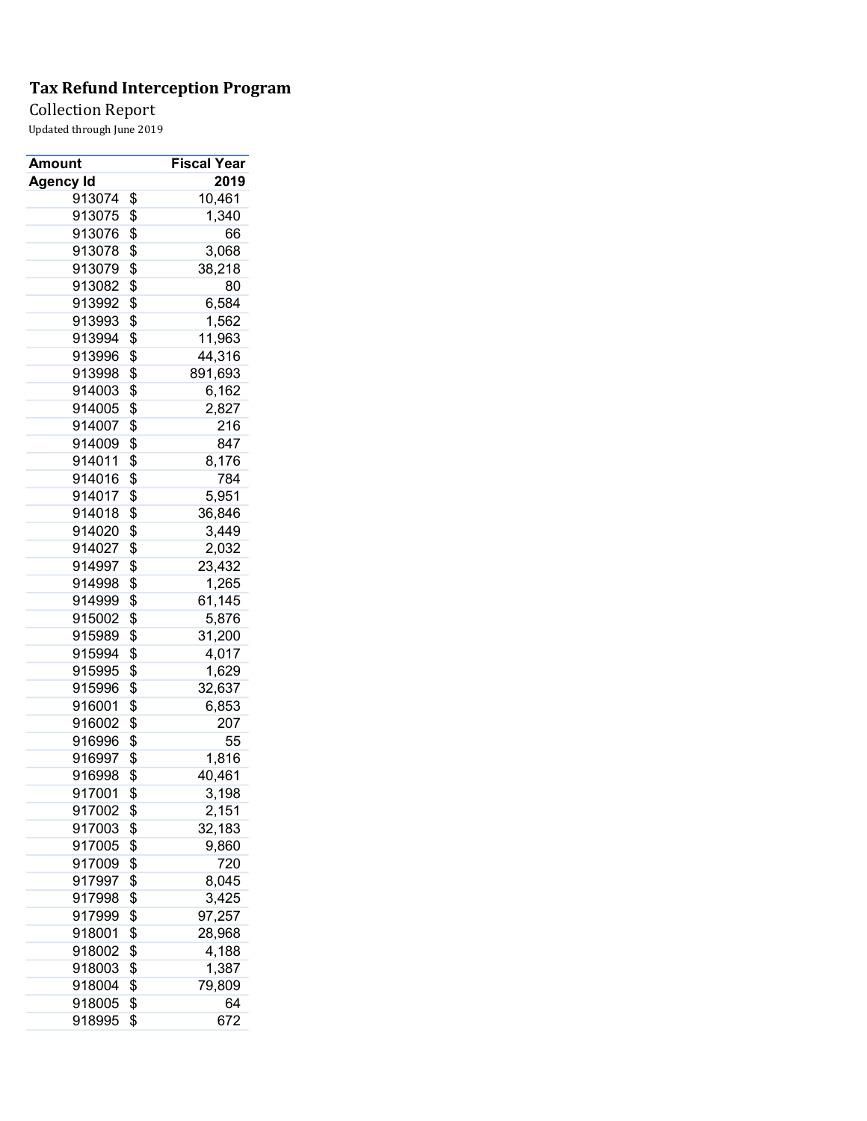Collection Report

| Amount           | Fiscal Year   |
|------------------|---------------|
| <b>Agency Id</b> | 2019          |
| 913074           | \$<br>10,461  |
| 913075           | \$<br>1,340   |
| 913076           | \$<br>66      |
| 913078           | \$<br>3,068   |
| 913079           | \$<br>38,218  |
| 913082           | \$<br>80      |
| 913992           | \$<br>6,584   |
| 913993           | \$<br>1,562   |
| 913994           | \$<br>11,963  |
| 913996           | \$<br>44,316  |
| 913998           | \$<br>891,693 |
| 914003           | \$<br>6,162   |
| 914005           | \$<br>2,827   |
| 914007           | \$<br>216     |
| 914009           | \$<br>847     |
| 914011           | \$<br>8,176   |
| 914016           | \$<br>784     |
| 914017           | \$<br>5,951   |
| 914018           | \$<br>36,846  |
| 914020           | \$<br>3,449   |
| 914027           | \$<br>2,032   |
| 914997           | \$<br>23,432  |
| 914998           | \$<br>1,265   |
| 914999           | \$<br>61,145  |
| 915002           | \$<br>5,876   |
| 915989           | \$<br>31,200  |
| 915994           | \$<br>4,017   |
| 915995           | \$<br>1,629   |
| 915996           | \$<br>32,637  |
| 916001           | \$<br>6,853   |
| 916002           | \$<br>207     |
| 916996           | \$<br>55      |
| 916997           | \$<br>1,816   |
| 916998           | \$<br>40,461  |
| 917001           | \$<br>3,198   |
| 917002           | \$<br>2,151   |
| 917003           | \$<br>32,183  |
| 917005           | \$<br>9,860   |
| 917009           | \$<br>720     |
| 917997           | \$<br>8,045   |
| 917998           | \$<br>3,425   |
| 917999           | \$<br>97,257  |
| 918001           | \$<br>28,968  |
| 918002           | \$<br>4,188   |
| 918003           | \$<br>1,387   |
| 918004           | \$<br>79,809  |
| 918005           | \$<br>64      |
| 918995           | \$<br>672     |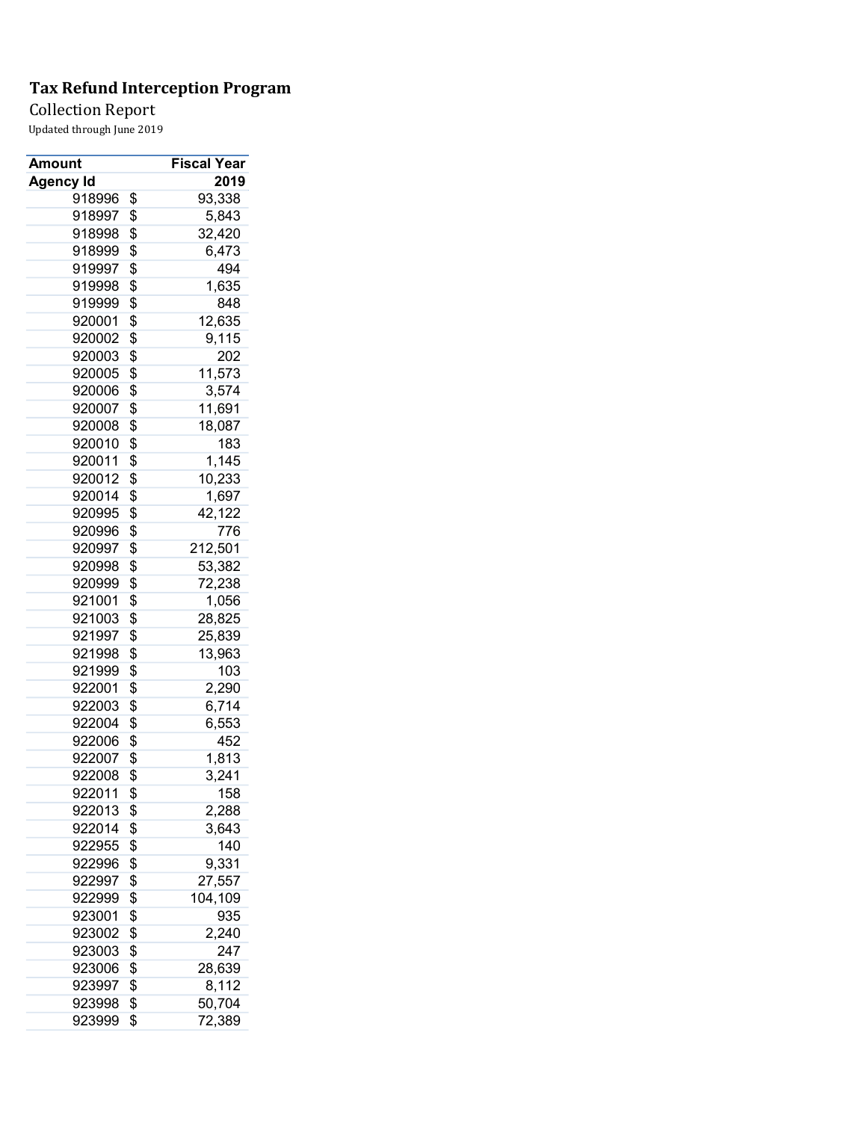Collection Report

| Amount           | <b>Fiscal Year</b> |
|------------------|--------------------|
| <b>Agency Id</b> | 2019               |
| 918996           | \$<br>93,338       |
| 918997           | \$<br>5,843        |
| 918998           | \$<br>32,420       |
| 918999           | \$<br>6,473        |
| 919997           | \$<br>494          |
| 919998           | \$<br>1,635        |
| 919999           | \$<br>848          |
| 920001           | \$<br>12,635       |
| 920002           | \$<br>9,115        |
| 920003           | \$<br>202          |
| 920005           | \$<br>11,573       |
| 920006           | \$<br>3,574        |
| 920007           | \$<br>11,691       |
| 920008           | \$<br>18,087       |
| 920010           | \$<br>183          |
| 920011           | \$<br>1,145        |
| 920012           | \$<br>10,233       |
| 920014           | \$<br>1,697        |
| 920995           | \$<br>42,122       |
| 920996           | \$<br>776          |
| 920997           | \$<br>212,501      |
| 920998           | \$<br>53,382       |
| 920999           | \$<br>72,238       |
| 921001           | \$<br>1,056        |
| 921003           | \$<br>28,825       |
| 921997           | \$<br>25,839       |
| 921998           | \$<br>13,963       |
| 921999           | \$<br>103          |
| 922001           | \$<br>2,290        |
| 922003           | \$<br>6,714        |
| 922004           | \$<br>6,553        |
| 922006           | \$<br>452          |
| 922007           | \$<br>1,813        |
| 922008           | \$<br>3,241        |
| 922011           | \$<br>158          |
| 922013           | \$<br>2,288        |
| 922014           | \$<br>3,643        |
| 922955           | \$<br>140          |
| 922996           | \$<br>9,331        |
| 922997           | \$<br>27,557       |
| 922999           | \$<br>104,109      |
| 923001           | \$<br>935          |
| 923002           | \$<br>2,240        |
| 923003           | \$<br>247          |
| 923006           | \$<br>28,639       |
| 923997           | \$<br>8,112        |
| 923998           | \$<br>50,704       |
| 923999           | \$<br>72,389       |
|                  |                    |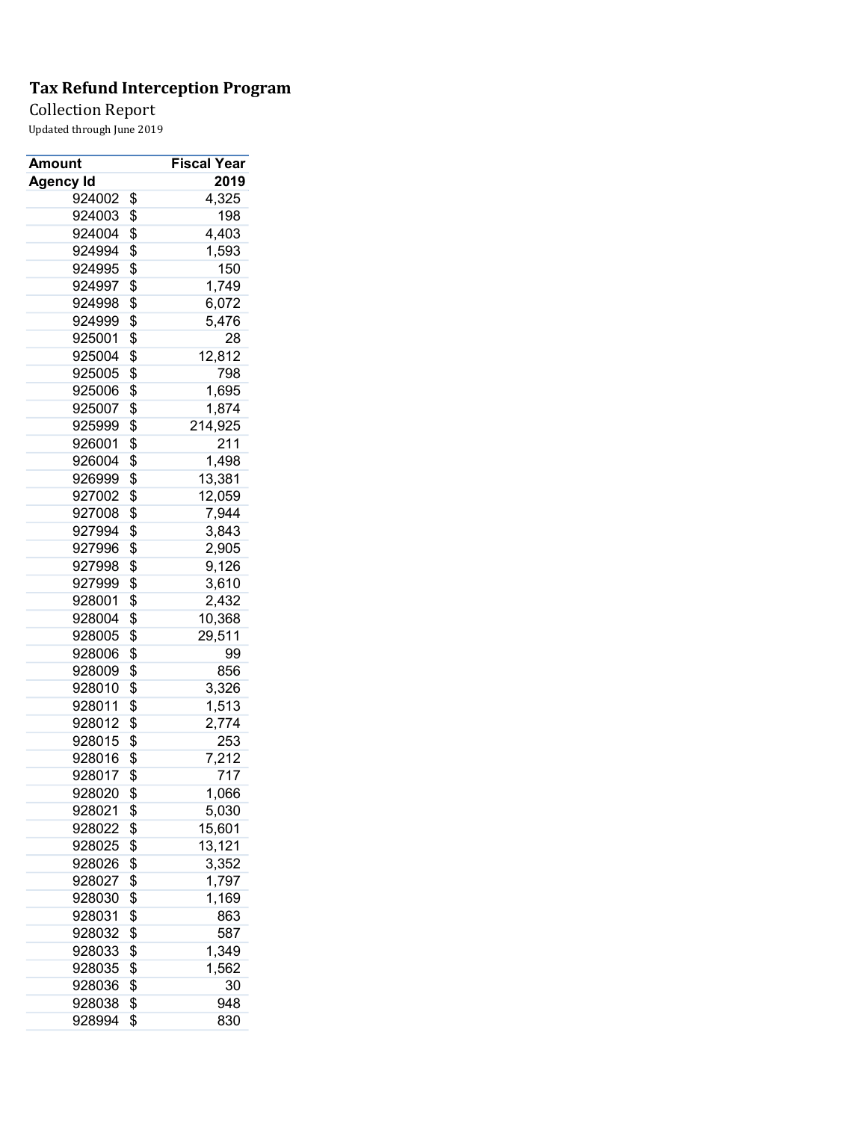Collection Report

| Amount           | <b>Fiscal Year</b> |
|------------------|--------------------|
| <b>Agency Id</b> | 2019               |
| 924002           | \$<br>4,325        |
| 924003           | \$<br>198          |
| 924004           | \$<br>4,403        |
| 924994           | \$<br>1,593        |
| 924995           | \$<br>150          |
| 924997           | \$<br>1,749        |
| 924998           | \$<br>6,072        |
| 924999           | \$<br>5,476        |
| 925001           | \$<br>28           |
| 925004           | \$<br>12,812       |
| 925005           | \$<br>798          |
| 925006           | \$<br>1,695        |
| 925007           | \$<br>1,874        |
| 925999           | \$<br>214,925      |
| 926001           | \$<br>211          |
| 926004           | \$<br>1,498        |
| 926999           | \$<br>13,381       |
| 927002           | \$<br>12,059       |
| 927008           | \$<br>7,944        |
| 927994           | \$<br>3,843        |
| 927996           | \$<br>2,905        |
| 927998           | \$<br>9,126        |
| 927999           | \$<br>3,610        |
| 928001           | \$<br>2,432        |
| 928004           | \$<br>10,368       |
| 928005           | \$<br>29,511       |
| 928006           | \$<br>99           |
| 928009           | \$<br>856          |
| 928010           | \$<br>3,326        |
| 928011           | \$<br>1,513        |
| 928012           | \$<br>2,774        |
| 928015           | \$<br>253          |
| 928016           | \$<br>7,212        |
| 928017           | \$<br>717          |
| 928020           | \$<br>1,066        |
| 928021           | \$<br>5,030        |
|                  |                    |
| 928022           | \$<br>15,601       |
| 928025           | \$<br>13,121       |
| 928026           | \$<br>3,352        |
| 928027           | \$<br>1,797        |
| 928030           | \$<br>1,169        |
| 928031           | \$<br>863          |
| 928032           | \$<br>587          |
| 928033           | \$<br>1,349        |
| 928035           | \$<br>1,562        |
| 928036           | \$<br>30           |
| 928038           | \$<br>948          |
| 928994           | \$<br>830          |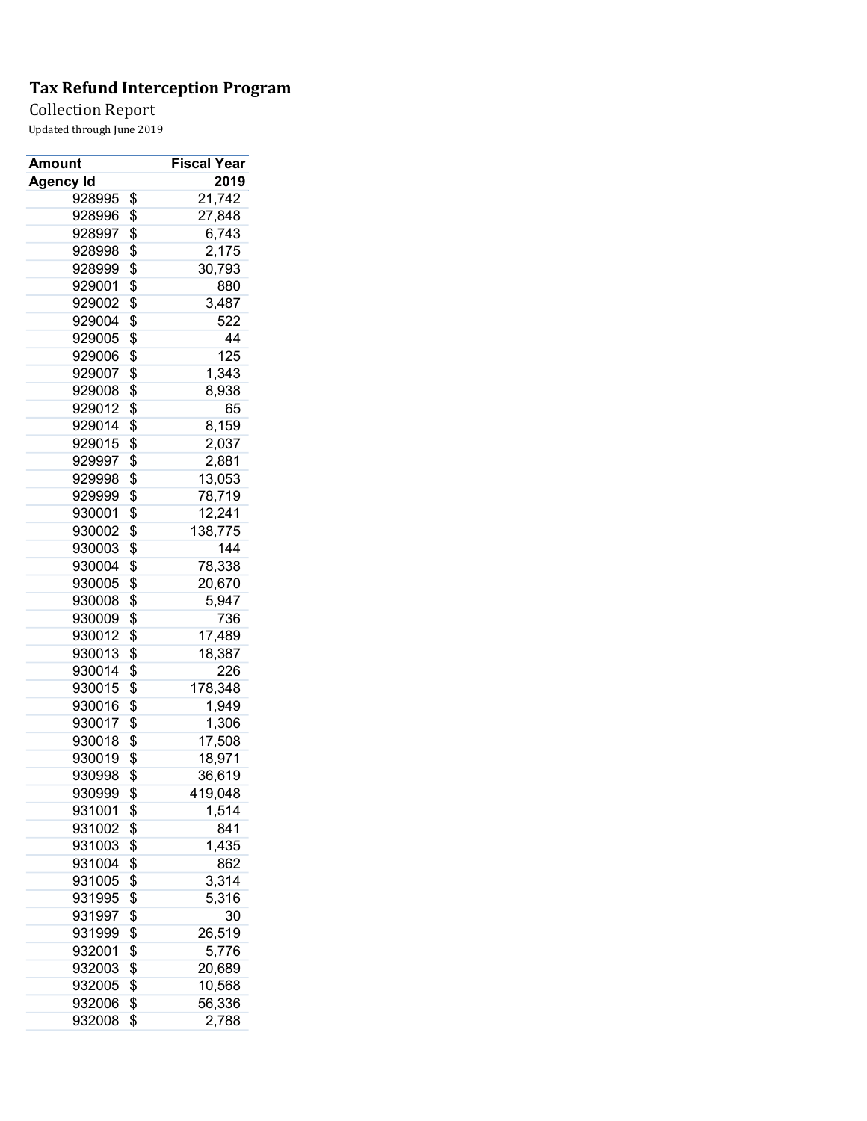Collection Report

| Amount           | Fiscal Year   |
|------------------|---------------|
| <b>Agency Id</b> | 2019          |
| 928995           | \$<br>21,742  |
| 928996           | \$<br>27,848  |
| 928997           | \$<br>6,743   |
| 928998           | \$<br>2,175   |
| 928999           | \$<br>30,793  |
| 929001           | \$<br>880     |
| 929002           | \$<br>3,487   |
| 929004           | \$<br>522     |
| 929005           | \$<br>44      |
| 929006           | \$<br>125     |
| 929007           | \$<br>1,343   |
| 929008           | \$<br>8,938   |
| 929012           | \$<br>65      |
| 929014           | \$<br>8,159   |
| 929015           | \$<br>2,037   |
| 929997           | \$<br>2,881   |
| 929998           | \$            |
|                  | \$<br>13,053  |
| 929999           | 78,719        |
| 930001           | \$<br>12,241  |
| 930002           | \$<br>138,775 |
| 930003           | \$<br>144     |
| 930004           | \$<br>78,338  |
| 930005           | \$<br>20,670  |
| 930008           | \$<br>5,947   |
| 930009           | \$<br>736     |
| 930012           | \$<br>17,489  |
| 930013           | \$<br>18,387  |
| 930014           | \$<br>226     |
| 930015           | \$<br>178,348 |
| 930016           | \$<br>1,949   |
| 930017           | \$<br>1,306   |
| 930018           | \$<br>17,508  |
| 930019           | \$<br>18,971  |
| 930998           | \$<br>36,619  |
| 930999           | \$<br>419,048 |
| 931001           | \$<br>1,514   |
| 931002           | \$<br>841     |
| 931003           | \$<br>1,435   |
| 931004           | \$<br>862     |
| 931005           | \$<br>3,314   |
| 931995           | \$<br>5,316   |
| 931997           | \$<br>30      |
| 931999           | \$<br>26,519  |
| 932001           | \$<br>5,776   |
| 932003           | \$<br>20,689  |
| 932005           | \$<br>10,568  |
| 932006           | \$<br>56,336  |
| 932008           | \$<br>2,788   |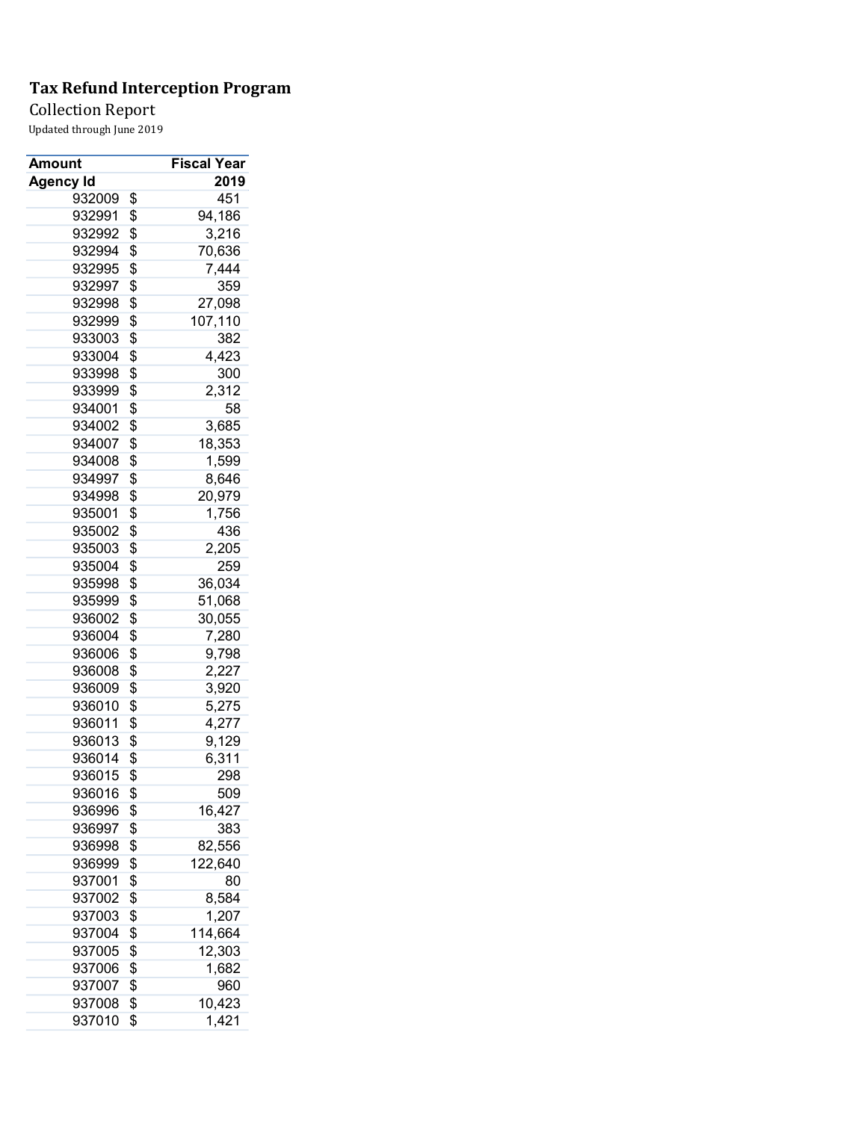Collection Report

| Amount           | <b>Fiscal Year</b> |
|------------------|--------------------|
| <b>Agency Id</b> | 2019               |
| 932009           | \$<br>451          |
| 932991           | \$<br>94,186       |
| 932992           | \$<br>3,216        |
| 932994           | \$<br>70,636       |
| 932995           | \$<br>7,444        |
| 932997           | \$<br>359          |
| 932998           | \$<br>27,098       |
| 932999           | \$<br>107,110      |
| 933003           | \$<br>382          |
| 933004           | \$<br>4,423        |
| 933998           | \$<br>300          |
| 933999           | \$<br>2,312        |
| 934001           | \$<br>58           |
| 934002           | \$<br>3,685        |
| 934007           | \$<br>18,353       |
| 934008           | \$<br>1,599        |
| 934997           | \$<br>8,646        |
| 934998           | \$<br>20,979       |
| 935001           | \$<br>1,756        |
| 935002           | \$<br>436          |
| 935003           | \$<br>2,205        |
| 935004           | \$<br>259          |
| 935998           | \$<br>36,034       |
| 935999           | \$<br>51,068       |
| 936002           | \$<br>30,055       |
| 936004           | \$<br>7,280        |
| 936006           | \$<br>9,798        |
| 936008           | \$<br>2,227        |
| 936009           | \$<br>3,920        |
| 936010           | \$<br>5,275        |
| 936011           | \$<br>4,277        |
| 936013           | \$<br>9,129        |
| 936014           | \$<br>6,311        |
| 936015           | \$<br>298          |
| 936016           | \$<br>509          |
| 936996           | \$<br>16,427       |
| 936997           | \$<br>383          |
| 936998           | \$<br>82,556       |
| 936999           | \$<br>122,640      |
| 937001           | \$<br>80           |
| 937002           | \$<br>8,584        |
| 937003           | \$<br>1,207        |
| 937004           | \$<br>114,664      |
| 937005           | \$<br>12,303       |
| 937006           | \$<br>1,682        |
| 937007           | \$<br>960          |
| 937008           | \$<br>10,423       |
| 937010           | \$<br>1,421        |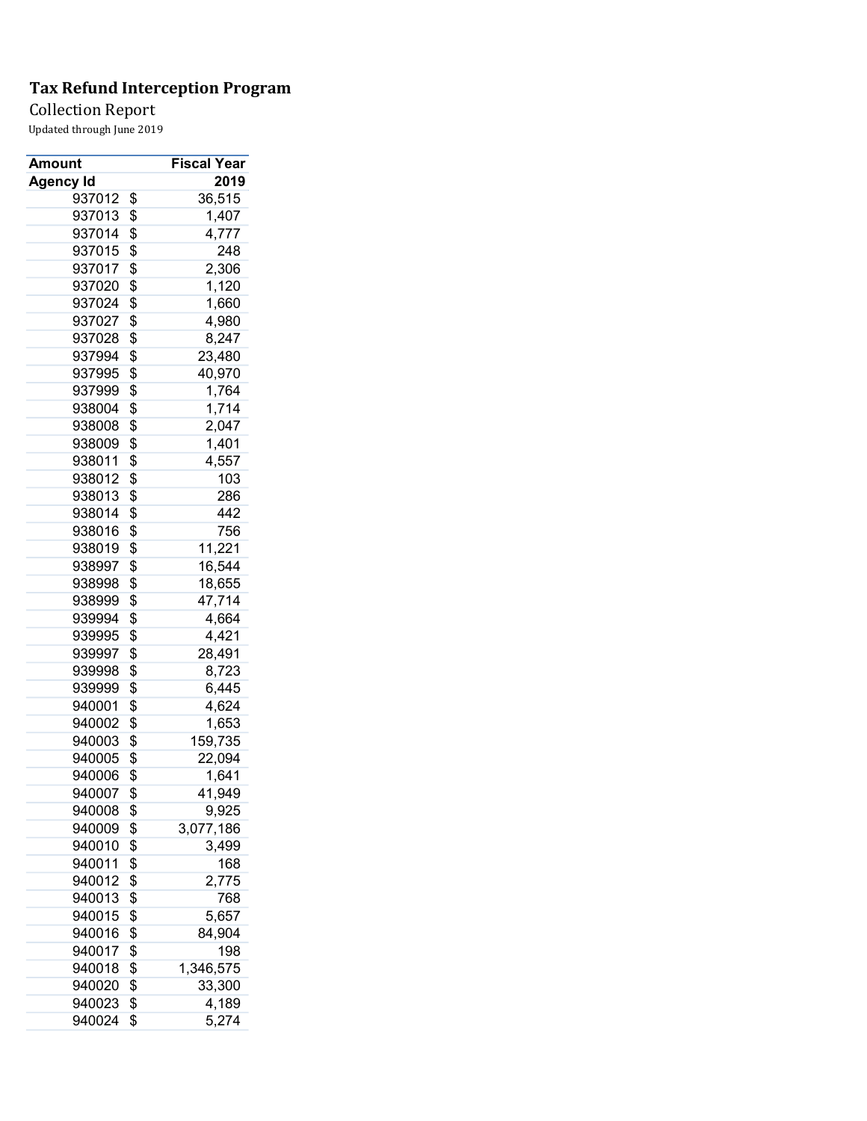Collection Report

| Amount           | <b>Fiscal Year</b> |
|------------------|--------------------|
| <b>Agency Id</b> | 2019               |
| 937012           | \$<br>36,515       |
| 937013           | \$<br>1,407        |
| 937014           | \$<br>4,777        |
| 937015           | \$<br>248          |
| 937017           | \$<br>2,306        |
| 937020           | \$<br>1,120        |
| 937024           | \$<br>1,660        |
| 937027           | \$<br>4,980        |
| 937028           | \$<br>8,247        |
| 937994           | \$<br>23,480       |
| 937995           | \$<br>40,970       |
| 937999           | \$<br>1,764        |
| 938004           | \$<br>1,714        |
| 938008           | \$<br>2,047        |
| 938009           | \$<br>1,401        |
| 938011           | \$<br>4,557        |
| 938012           | \$<br>103          |
| 938013           | \$<br>286          |
| 938014           | \$<br>442          |
| 938016           | \$<br>756          |
| 938019           | \$<br>11,221       |
| 938997           | \$<br>16,544       |
| 938998           | \$<br>18,655       |
| 938999           | \$<br>47,714       |
| 939994           | \$<br>4,664        |
| 939995           | \$<br>4,421        |
| 939997           | \$<br>28,491       |
| 939998           | \$<br>8,723        |
| 939999           | \$<br>6,445        |
| 940001           | \$<br>4,624        |
| 940002           | \$<br>1,653        |
| 940003           | \$<br>159,735      |
| 940005           | \$<br>22,094       |
| 940006           | \$<br>1,641        |
| 940007           | \$<br>41,949       |
| 940008           | \$<br>9,925        |
| 940009           | \$<br>3,077,186    |
| 940010           | \$<br>3,499        |
| 940011           | \$                 |
| 940012           | 168                |
|                  | \$<br>2,775        |
| 940013<br>940015 | \$<br>768          |
|                  | \$<br>5,657        |
| 940016           | \$<br>84,904       |
| 940017           | \$<br>198          |
| 940018           | \$<br>1,346,575    |
| 940020           | \$<br>33,300       |
| 940023           | \$<br>4,189        |
| 940024           | \$<br>5,274        |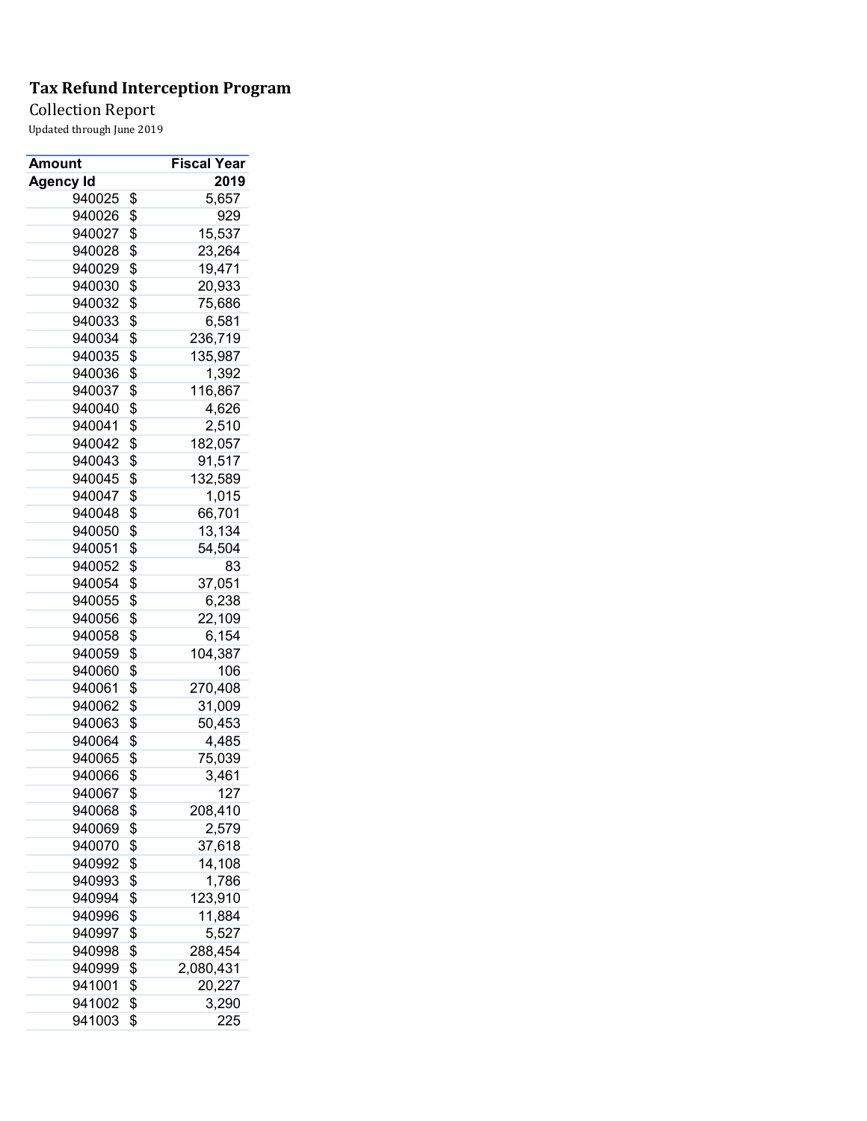### Collection Report

| Amount           | Fiscal Year            |
|------------------|------------------------|
| <b>Agency Id</b> | 2019                   |
| 940025           | \$<br>5,657            |
| 940026           | \$<br>929              |
| 940027           | \$<br>15,537           |
| 940028           | \$<br>23,264           |
| 940029           | \$<br>19,471           |
| 940030           | \$<br>20,933           |
| 940032           | \$<br>75,686           |
| 940033           | \$<br>6,581            |
| 940034           | \$<br>236,719          |
| 940035           | \$<br>135,987          |
| 940036           | \$<br>1,392            |
| 940037           | \$<br>116,867          |
| 940040           | \$<br>4,626            |
| 940041           | \$<br>2,510            |
| 940042           | \$<br>182,057          |
| 940043           | \$<br>91,517           |
| 940045           | \$<br>132,589          |
| 940047           | \$<br>1,015            |
| 940048           | \$<br>66,701           |
| 940050           | \$<br>13,134           |
| 940051           | \$<br>54,504           |
| 940052           | \$<br>83               |
| 940054           | \$<br>37,051           |
| 940055           | \$<br>6,238            |
| 940056           | \$<br>22,109           |
| 940058           | \$<br>6,154            |
| 940059           | \$<br>104,387          |
| 940060           | \$<br>106              |
| 940061           | \$<br>270,408          |
| 940062           | \$<br>31,009           |
| 940063           | \$<br>50,453           |
| 940064           | \$<br>4,485            |
| 940065           | \$<br>75,039           |
| 940066           | \$<br>3,461            |
| 940067           | \$<br>$\overline{127}$ |
|                  |                        |
| 940068           | \$<br>208,410          |
| 940069           | \$<br>2,579            |
| 940070           | \$<br>37,618           |
| 940992           | \$<br>14,108           |
| 940993           | \$<br>1,786            |
| 940994           | \$<br>123,910          |
| 940996           | \$<br>11,884           |
| 940997           | \$<br>5,527            |
| 940998           | \$<br>288,454          |
| 940999           | \$<br>2,080,431        |
| 941001           | \$<br>20,227           |
| 941002           | \$<br>3,290            |
| 941003           | \$<br>225              |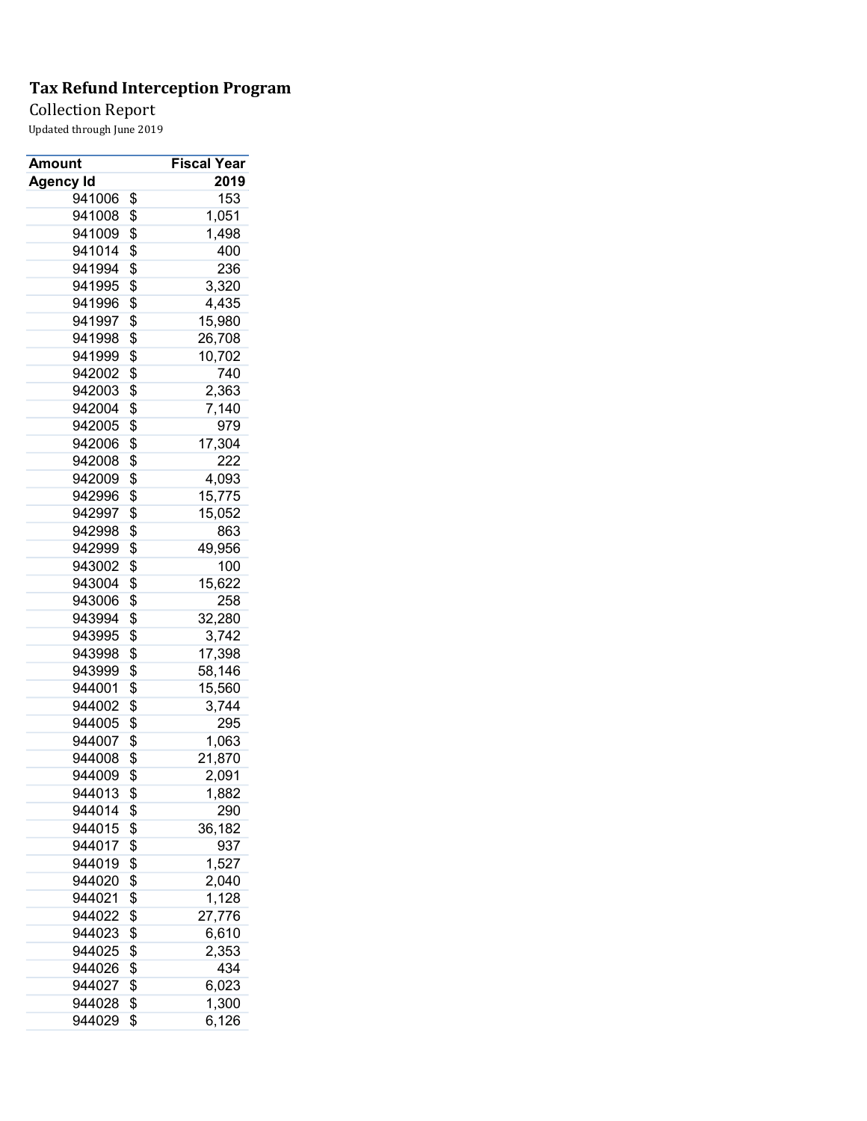Collection Report

| Amount           | <b>Fiscal Year</b> |
|------------------|--------------------|
| <b>Agency Id</b> | 2019               |
| 941006           | \$<br>153          |
| 941008           | \$<br>1,051        |
| 941009           | \$<br>1,498        |
| 941014           | \$<br>400          |
| 941994           | \$<br>236          |
| 941995           | \$<br>3,320        |
| 941996           | \$<br>4,435        |
| 941997           | \$<br>15,980       |
| 941998           | \$<br>26,708       |
| 941999           | \$<br>10,702       |
| 942002           | \$<br>740          |
| 942003           | \$<br>2,363        |
| 942004           | \$<br>7,140        |
| 942005           | \$<br>979          |
| 942006           | \$<br>17,304       |
| 942008           | \$<br>222          |
| 942009           | \$<br>4,093        |
| 942996           | \$<br>15,775       |
| 942997           | \$<br>15,052       |
| 942998           | \$<br>863          |
| 942999           | \$<br>49,956       |
| 943002           | \$<br>100          |
| 943004           | \$<br>15,622       |
| 943006           | \$<br>258          |
| 943994           | \$<br>32,280       |
| 943995           | \$<br>3,742        |
| 943998           | \$<br>17,398       |
| 943999           | \$<br>58,146       |
| 944001           | \$<br>15,560       |
| 944002           | \$<br>3,744        |
| 944005           | \$<br>295          |
| 944007           | \$<br>1,063        |
| 944008           | \$<br>21,870       |
| 944009           | \$<br>2,091        |
| 944013           | \$<br>1,882        |
| 944014           | \$<br>290          |
| 944015           | \$<br>36,182       |
| 944017           | \$<br>937          |
| 944019           | \$<br>1,527        |
| 944020           | \$<br>2,040        |
| 944021           | \$<br>1,128        |
| 944022           | \$<br>27,776       |
| 944023           | \$<br>6,610        |
| 944025           | \$<br>2,353        |
| 944026           | \$<br>434          |
| 944027           | \$<br>6,023        |
| 944028           | \$<br>1,300        |
| 944029           | \$<br>6,126        |
|                  |                    |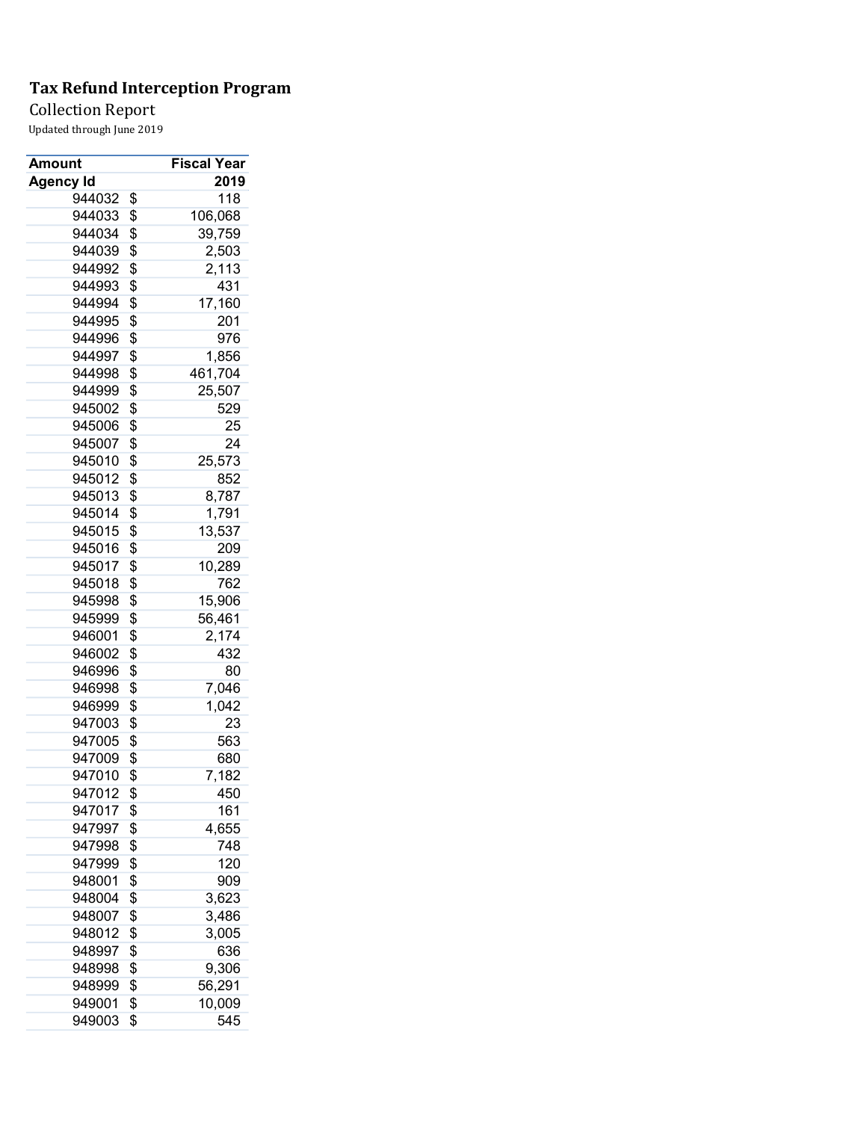Collection Report

| Amount           | <b>Fiscal Year</b> |
|------------------|--------------------|
| <b>Agency Id</b> | 2019               |
| 944032           | \$<br>118          |
| 944033           | \$<br>106,068      |
| 944034           | \$<br>39,759       |
| 944039           | \$<br>2,503        |
| 944992           | \$<br>2,113        |
| 944993           | \$<br>431          |
| 944994           | \$<br>17,160       |
| 944995           | \$<br>201          |
| 944996           | \$<br>976          |
| 944997           | \$<br>1,856        |
| 944998           | \$<br>461,704      |
| 944999           | \$<br>25,507       |
| 945002           | \$<br>529          |
| 945006           | \$<br>25           |
| 945007           | \$<br>24           |
| 945010           | \$<br>25,573       |
| 945012           | \$<br>852          |
| 945013           | \$<br>8,787        |
| 945014           | \$<br>1,791        |
| 945015           | \$<br>13,537       |
| 945016           | \$<br>209          |
| 945017           | \$<br>10,289       |
| 945018           | \$<br>762          |
| 945998           | \$<br>15,906       |
| 945999           | \$<br>56,461       |
| 946001           | \$<br>2,174        |
| 946002           | \$<br>432          |
| 946996           | \$<br>80           |
| 946998           | \$<br>7,046        |
| 946999           | \$<br>1,042        |
| 947003           | \$<br>23           |
| 947005           | \$<br>563          |
| 947009           | \$<br>680          |
| 947010           | \$<br>7,182        |
| 947012           | \$<br>450          |
| 947017           | \$<br>161          |
| 947997           | \$<br>4,655        |
| 947998           | \$<br>748          |
| 947999           | \$<br>120          |
| 948001           | \$<br>909          |
| 948004           | \$<br>3,623        |
| 948007           | \$<br>3,486        |
| 948012           | \$<br>3,005        |
| 948997           | \$<br>636          |
| 948998           | \$<br>9,306        |
| 948999           | \$<br>56,291       |
| 949001           | \$<br>10,009       |
| 949003           | \$<br>545          |
|                  |                    |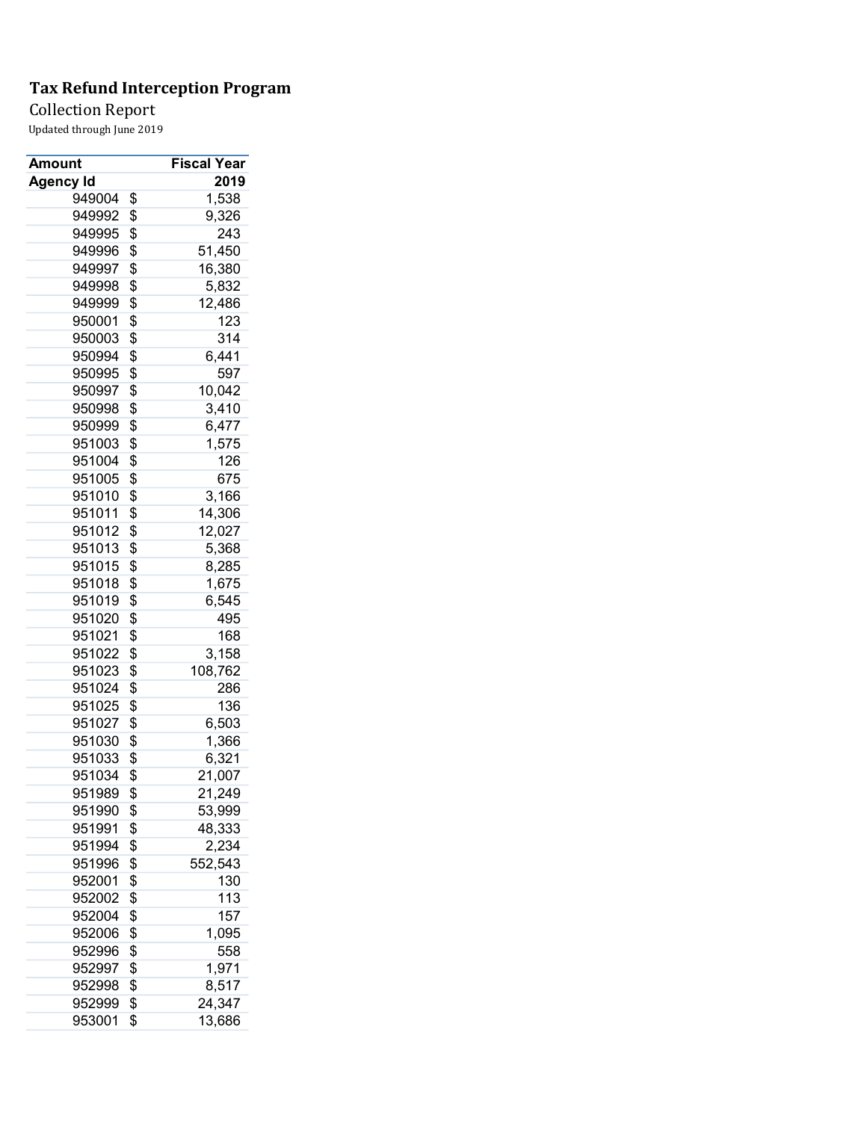Collection Report

| Amount           | <b>Fiscal Year</b> |
|------------------|--------------------|
| <b>Agency Id</b> | 2019               |
| 949004           | \$<br>1,538        |
| 949992           | \$<br>9,326        |
| 949995           | \$<br>243          |
| 949996           | \$<br>51,450       |
| 949997           | \$<br>16,380       |
| 949998           | \$<br>5,832        |
| 949999           | \$<br>12,486       |
| 950001           | \$<br>123          |
| 950003           | \$<br>314          |
| 950994           | \$<br>6,441        |
| 950995           | \$<br>597          |
| 950997           | \$<br>10,042       |
| 950998           | \$<br>3,410        |
| 950999           | \$<br>6,477        |
| 951003           | \$<br>1,575        |
| 951004           | \$<br>126          |
| 951005           | \$<br>675          |
| 951010           | \$<br>3,166        |
| 951011           | \$<br>14,306       |
| 951012           | \$<br>12,027       |
| 951013           | \$<br>5,368        |
| 951015           | \$<br>8,285        |
| 951018           | \$<br>1,675        |
| 951019           | \$<br>6,545        |
| 951020           | \$<br>495          |
| 951021           | \$<br>168          |
| 951022           | \$<br>3,158        |
| 951023           | \$<br>108,762      |
| 951024           | \$<br>286          |
| 951025           | \$<br>136          |
| 951027           | \$<br>6,503        |
| 951030           | \$<br>1,366        |
| 951033           | \$<br>6,321        |
| 951034           | \$<br>21,007       |
| 951989           | \$<br>21,249       |
| 951990           | \$<br>53,999       |
| 951991           | \$<br>48,333       |
| 951994           | \$<br>2,234        |
| 951996           | \$<br>552,543      |
| 952001           | \$<br>130          |
| 952002           | \$<br>113          |
| 952004           | \$<br>157          |
| 952006           | \$<br>1,095        |
| 952996           | \$<br>558          |
| 952997           | \$<br>1,971        |
| 952998           | \$<br>8,517        |
| 952999           | \$<br>24,347       |
| 953001           | \$<br>13,686       |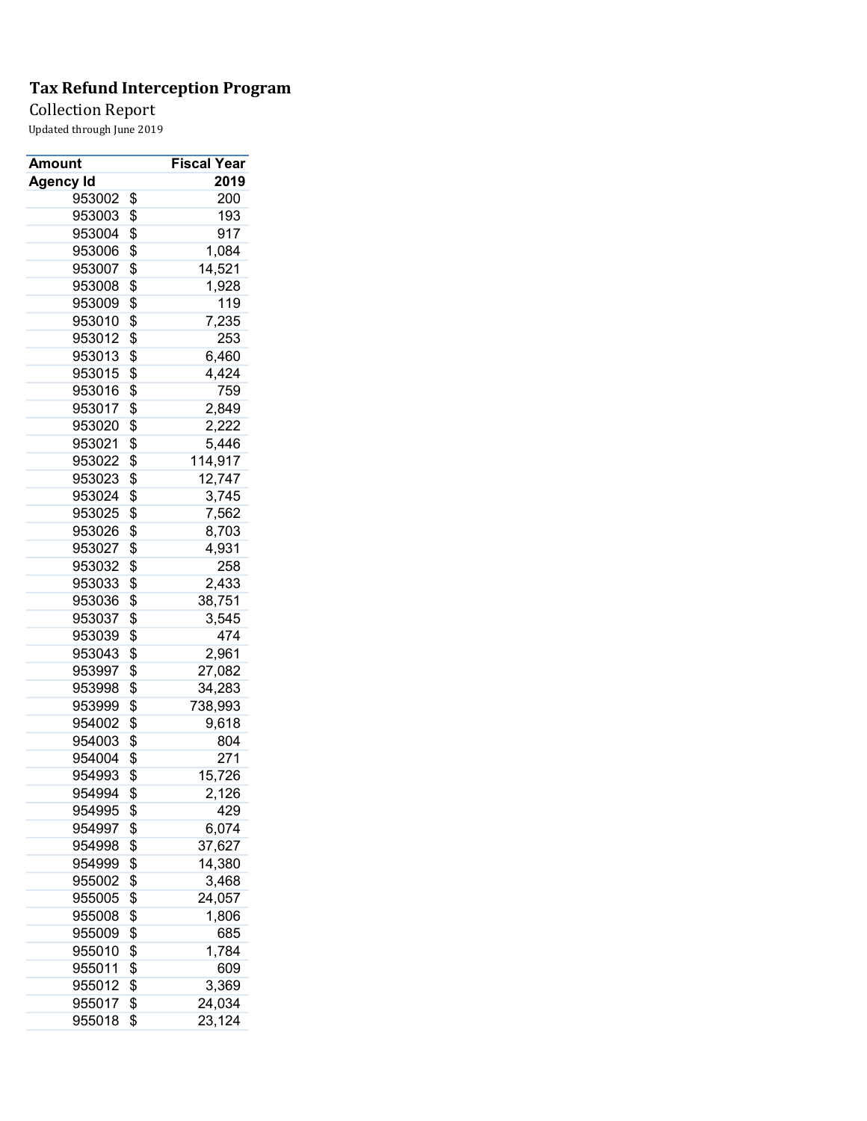Collection Report

| Amount           | <b>Fiscal Year</b> |
|------------------|--------------------|
| <b>Agency Id</b> | 2019               |
| 953002           | \$<br>200          |
| 953003           | \$<br>193          |
| 953004           | \$<br>917          |
| 953006           | \$<br>1,084        |
| 953007           | \$<br>14,521       |
| 953008           | \$<br>1,928        |
| 953009           | \$<br>119          |
| 953010           | \$<br>7,235        |
| 953012           | \$<br>253          |
| 953013           | \$<br>6,460        |
| 953015           | \$<br>4,424        |
| 953016           | \$<br>759          |
| 953017           | \$<br>2,849        |
| 953020           | \$<br>2,222        |
| 953021           | \$<br>5,446        |
| 953022           | \$<br>114,917      |
| 953023           | \$<br>12,747       |
| 953024           | \$<br>3,745        |
| 953025           | \$<br>7,562        |
| 953026           | \$<br>8,703        |
| 953027           | \$<br>4,931        |
| 953032           | \$<br>258          |
| 953033           | \$<br>2,433        |
| 953036           | \$<br>38,751       |
| 953037           | \$<br>3,545        |
| 953039           | \$<br>474          |
| 953043           | \$<br>2,961        |
| 953997           | \$<br>27,082       |
| 953998           | \$<br>34,283       |
| 953999           | \$<br>738,993      |
| 954002           | \$<br>9,618        |
| 954003           | \$<br>804          |
| 954004           | \$<br>271          |
| 954993           | \$<br>15,726       |
| 954994           | \$<br>2,126        |
| 954995           | \$<br>429          |
| 954997           | \$<br>6,074        |
| 954998           | \$<br>37,627       |
| 954999           | \$<br>14,380       |
| 955002           | \$<br>3,468        |
| 955005           | \$<br>24,057       |
| 955008           | \$<br>1,806        |
| 955009           | \$<br>685          |
| 955010           | \$<br>1,784        |
| 955011           | \$<br>609          |
| 955012           | \$<br>3,369        |
| 955017           | \$<br>24,034       |
| 955018           | \$<br>23,124       |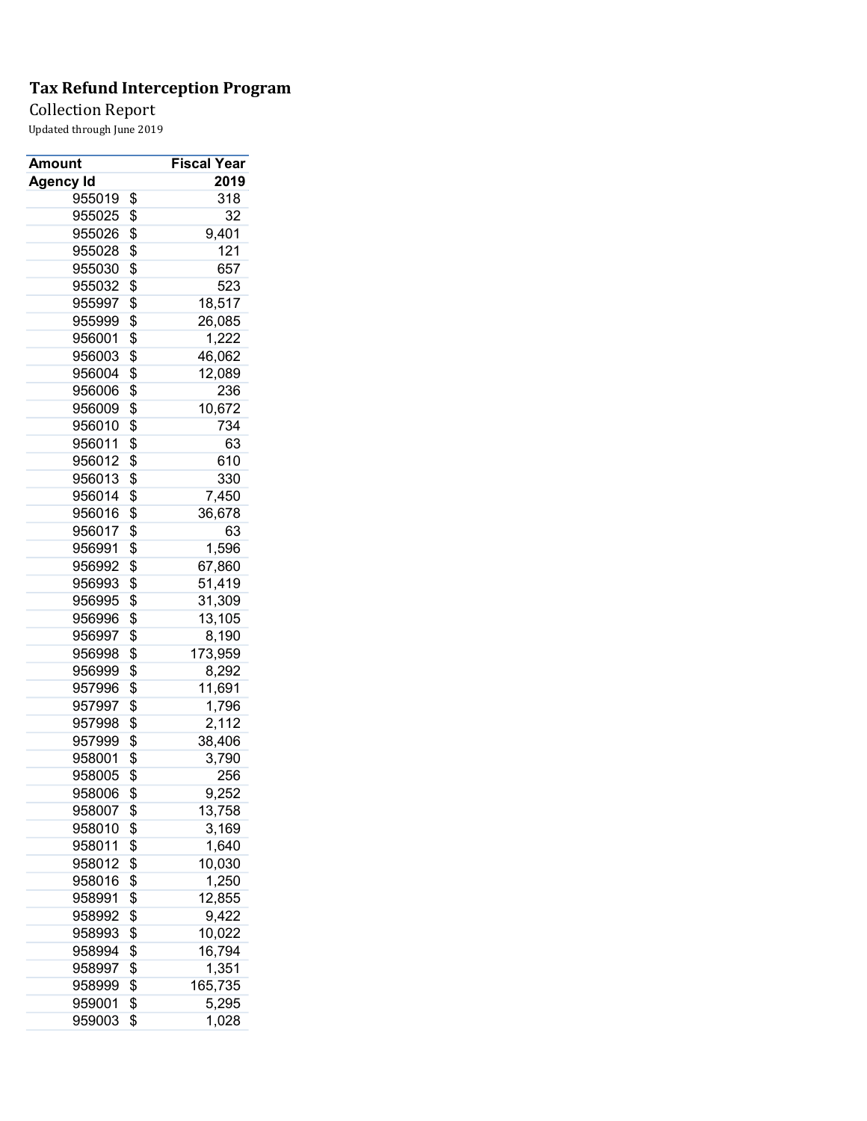Collection Report

| 2019<br><b>Agency Id</b><br>955019<br>318<br>\$<br>\$<br>32<br>955025<br>\$<br>9,401<br>955026<br>\$<br>121<br>955028<br>\$<br>955030<br>657<br>\$<br>955032<br>523<br>\$<br>18,517<br>955997<br>\$<br>955999<br>26,085<br>\$<br>956001<br>1,222<br>\$<br>956003<br>46,062<br>\$<br>956004<br>12,089<br>\$<br>956006<br>236<br>\$<br>956009<br>10,672<br>\$<br>956010<br>734<br>\$<br>63<br>956011<br>\$<br>610<br>956012<br>\$<br>956013<br>330<br>\$<br>956014<br>7,450<br>\$<br>956016<br>36,678<br>\$<br>956017<br>63<br>\$<br>1,596<br>956991<br>\$<br>67,860<br>956992<br>\$<br>51,419<br>956993<br>\$<br>956995<br>31,309<br>\$<br>13,105<br>956996<br>\$<br>8,190<br>956997<br>\$<br>956998<br>173,959<br>956999<br>\$<br>8,292<br>\$<br>957996<br>11,691<br>\$<br>957997<br>1,796<br>\$<br>957998<br>2,112<br>\$<br>38,406<br>957999<br>\$<br>958001<br>3,790<br>\$<br>958005<br>256<br>\$<br>9,252<br>958006<br>13,758<br>958007<br>\$<br>\$<br>958010<br>3,169<br>\$<br>1,640<br>958011<br>\$<br>10,030<br>958012<br>\$<br>1,250<br>958016<br>\$<br>12,855<br>958991<br>\$<br>9,422<br>958992<br>\$<br>958993<br>10,022<br>\$<br>16,794<br>958994<br>\$<br>958997<br>1,351<br>\$<br>165,735<br>958999<br>\$<br>959001<br>5,295 | Amount | <b>Fiscal Year</b> |
|-------------------------------------------------------------------------------------------------------------------------------------------------------------------------------------------------------------------------------------------------------------------------------------------------------------------------------------------------------------------------------------------------------------------------------------------------------------------------------------------------------------------------------------------------------------------------------------------------------------------------------------------------------------------------------------------------------------------------------------------------------------------------------------------------------------------------------------------------------------------------------------------------------------------------------------------------------------------------------------------------------------------------------------------------------------------------------------------------------------------------------------------------------------------------------------------------------------------------------------------|--------|--------------------|
|                                                                                                                                                                                                                                                                                                                                                                                                                                                                                                                                                                                                                                                                                                                                                                                                                                                                                                                                                                                                                                                                                                                                                                                                                                           |        |                    |
|                                                                                                                                                                                                                                                                                                                                                                                                                                                                                                                                                                                                                                                                                                                                                                                                                                                                                                                                                                                                                                                                                                                                                                                                                                           |        |                    |
|                                                                                                                                                                                                                                                                                                                                                                                                                                                                                                                                                                                                                                                                                                                                                                                                                                                                                                                                                                                                                                                                                                                                                                                                                                           |        |                    |
|                                                                                                                                                                                                                                                                                                                                                                                                                                                                                                                                                                                                                                                                                                                                                                                                                                                                                                                                                                                                                                                                                                                                                                                                                                           |        |                    |
|                                                                                                                                                                                                                                                                                                                                                                                                                                                                                                                                                                                                                                                                                                                                                                                                                                                                                                                                                                                                                                                                                                                                                                                                                                           |        |                    |
|                                                                                                                                                                                                                                                                                                                                                                                                                                                                                                                                                                                                                                                                                                                                                                                                                                                                                                                                                                                                                                                                                                                                                                                                                                           |        |                    |
|                                                                                                                                                                                                                                                                                                                                                                                                                                                                                                                                                                                                                                                                                                                                                                                                                                                                                                                                                                                                                                                                                                                                                                                                                                           |        |                    |
|                                                                                                                                                                                                                                                                                                                                                                                                                                                                                                                                                                                                                                                                                                                                                                                                                                                                                                                                                                                                                                                                                                                                                                                                                                           |        |                    |
|                                                                                                                                                                                                                                                                                                                                                                                                                                                                                                                                                                                                                                                                                                                                                                                                                                                                                                                                                                                                                                                                                                                                                                                                                                           |        |                    |
|                                                                                                                                                                                                                                                                                                                                                                                                                                                                                                                                                                                                                                                                                                                                                                                                                                                                                                                                                                                                                                                                                                                                                                                                                                           |        |                    |
|                                                                                                                                                                                                                                                                                                                                                                                                                                                                                                                                                                                                                                                                                                                                                                                                                                                                                                                                                                                                                                                                                                                                                                                                                                           |        |                    |
|                                                                                                                                                                                                                                                                                                                                                                                                                                                                                                                                                                                                                                                                                                                                                                                                                                                                                                                                                                                                                                                                                                                                                                                                                                           |        |                    |
|                                                                                                                                                                                                                                                                                                                                                                                                                                                                                                                                                                                                                                                                                                                                                                                                                                                                                                                                                                                                                                                                                                                                                                                                                                           |        |                    |
|                                                                                                                                                                                                                                                                                                                                                                                                                                                                                                                                                                                                                                                                                                                                                                                                                                                                                                                                                                                                                                                                                                                                                                                                                                           |        |                    |
|                                                                                                                                                                                                                                                                                                                                                                                                                                                                                                                                                                                                                                                                                                                                                                                                                                                                                                                                                                                                                                                                                                                                                                                                                                           |        |                    |
|                                                                                                                                                                                                                                                                                                                                                                                                                                                                                                                                                                                                                                                                                                                                                                                                                                                                                                                                                                                                                                                                                                                                                                                                                                           |        |                    |
|                                                                                                                                                                                                                                                                                                                                                                                                                                                                                                                                                                                                                                                                                                                                                                                                                                                                                                                                                                                                                                                                                                                                                                                                                                           |        |                    |
|                                                                                                                                                                                                                                                                                                                                                                                                                                                                                                                                                                                                                                                                                                                                                                                                                                                                                                                                                                                                                                                                                                                                                                                                                                           |        |                    |
|                                                                                                                                                                                                                                                                                                                                                                                                                                                                                                                                                                                                                                                                                                                                                                                                                                                                                                                                                                                                                                                                                                                                                                                                                                           |        |                    |
|                                                                                                                                                                                                                                                                                                                                                                                                                                                                                                                                                                                                                                                                                                                                                                                                                                                                                                                                                                                                                                                                                                                                                                                                                                           |        |                    |
|                                                                                                                                                                                                                                                                                                                                                                                                                                                                                                                                                                                                                                                                                                                                                                                                                                                                                                                                                                                                                                                                                                                                                                                                                                           |        |                    |
|                                                                                                                                                                                                                                                                                                                                                                                                                                                                                                                                                                                                                                                                                                                                                                                                                                                                                                                                                                                                                                                                                                                                                                                                                                           |        |                    |
|                                                                                                                                                                                                                                                                                                                                                                                                                                                                                                                                                                                                                                                                                                                                                                                                                                                                                                                                                                                                                                                                                                                                                                                                                                           |        |                    |
|                                                                                                                                                                                                                                                                                                                                                                                                                                                                                                                                                                                                                                                                                                                                                                                                                                                                                                                                                                                                                                                                                                                                                                                                                                           |        |                    |
|                                                                                                                                                                                                                                                                                                                                                                                                                                                                                                                                                                                                                                                                                                                                                                                                                                                                                                                                                                                                                                                                                                                                                                                                                                           |        |                    |
|                                                                                                                                                                                                                                                                                                                                                                                                                                                                                                                                                                                                                                                                                                                                                                                                                                                                                                                                                                                                                                                                                                                                                                                                                                           |        |                    |
|                                                                                                                                                                                                                                                                                                                                                                                                                                                                                                                                                                                                                                                                                                                                                                                                                                                                                                                                                                                                                                                                                                                                                                                                                                           |        |                    |
|                                                                                                                                                                                                                                                                                                                                                                                                                                                                                                                                                                                                                                                                                                                                                                                                                                                                                                                                                                                                                                                                                                                                                                                                                                           |        |                    |
|                                                                                                                                                                                                                                                                                                                                                                                                                                                                                                                                                                                                                                                                                                                                                                                                                                                                                                                                                                                                                                                                                                                                                                                                                                           |        |                    |
|                                                                                                                                                                                                                                                                                                                                                                                                                                                                                                                                                                                                                                                                                                                                                                                                                                                                                                                                                                                                                                                                                                                                                                                                                                           |        |                    |
|                                                                                                                                                                                                                                                                                                                                                                                                                                                                                                                                                                                                                                                                                                                                                                                                                                                                                                                                                                                                                                                                                                                                                                                                                                           |        |                    |
|                                                                                                                                                                                                                                                                                                                                                                                                                                                                                                                                                                                                                                                                                                                                                                                                                                                                                                                                                                                                                                                                                                                                                                                                                                           |        |                    |
|                                                                                                                                                                                                                                                                                                                                                                                                                                                                                                                                                                                                                                                                                                                                                                                                                                                                                                                                                                                                                                                                                                                                                                                                                                           |        |                    |
|                                                                                                                                                                                                                                                                                                                                                                                                                                                                                                                                                                                                                                                                                                                                                                                                                                                                                                                                                                                                                                                                                                                                                                                                                                           |        |                    |
|                                                                                                                                                                                                                                                                                                                                                                                                                                                                                                                                                                                                                                                                                                                                                                                                                                                                                                                                                                                                                                                                                                                                                                                                                                           |        |                    |
|                                                                                                                                                                                                                                                                                                                                                                                                                                                                                                                                                                                                                                                                                                                                                                                                                                                                                                                                                                                                                                                                                                                                                                                                                                           |        |                    |
|                                                                                                                                                                                                                                                                                                                                                                                                                                                                                                                                                                                                                                                                                                                                                                                                                                                                                                                                                                                                                                                                                                                                                                                                                                           |        |                    |
|                                                                                                                                                                                                                                                                                                                                                                                                                                                                                                                                                                                                                                                                                                                                                                                                                                                                                                                                                                                                                                                                                                                                                                                                                                           |        |                    |
|                                                                                                                                                                                                                                                                                                                                                                                                                                                                                                                                                                                                                                                                                                                                                                                                                                                                                                                                                                                                                                                                                                                                                                                                                                           |        |                    |
|                                                                                                                                                                                                                                                                                                                                                                                                                                                                                                                                                                                                                                                                                                                                                                                                                                                                                                                                                                                                                                                                                                                                                                                                                                           |        |                    |
|                                                                                                                                                                                                                                                                                                                                                                                                                                                                                                                                                                                                                                                                                                                                                                                                                                                                                                                                                                                                                                                                                                                                                                                                                                           |        |                    |
|                                                                                                                                                                                                                                                                                                                                                                                                                                                                                                                                                                                                                                                                                                                                                                                                                                                                                                                                                                                                                                                                                                                                                                                                                                           |        |                    |
|                                                                                                                                                                                                                                                                                                                                                                                                                                                                                                                                                                                                                                                                                                                                                                                                                                                                                                                                                                                                                                                                                                                                                                                                                                           |        |                    |
|                                                                                                                                                                                                                                                                                                                                                                                                                                                                                                                                                                                                                                                                                                                                                                                                                                                                                                                                                                                                                                                                                                                                                                                                                                           |        |                    |
|                                                                                                                                                                                                                                                                                                                                                                                                                                                                                                                                                                                                                                                                                                                                                                                                                                                                                                                                                                                                                                                                                                                                                                                                                                           |        |                    |
|                                                                                                                                                                                                                                                                                                                                                                                                                                                                                                                                                                                                                                                                                                                                                                                                                                                                                                                                                                                                                                                                                                                                                                                                                                           |        |                    |
|                                                                                                                                                                                                                                                                                                                                                                                                                                                                                                                                                                                                                                                                                                                                                                                                                                                                                                                                                                                                                                                                                                                                                                                                                                           |        |                    |
|                                                                                                                                                                                                                                                                                                                                                                                                                                                                                                                                                                                                                                                                                                                                                                                                                                                                                                                                                                                                                                                                                                                                                                                                                                           |        |                    |
|                                                                                                                                                                                                                                                                                                                                                                                                                                                                                                                                                                                                                                                                                                                                                                                                                                                                                                                                                                                                                                                                                                                                                                                                                                           | 959003 | \$<br>1,028        |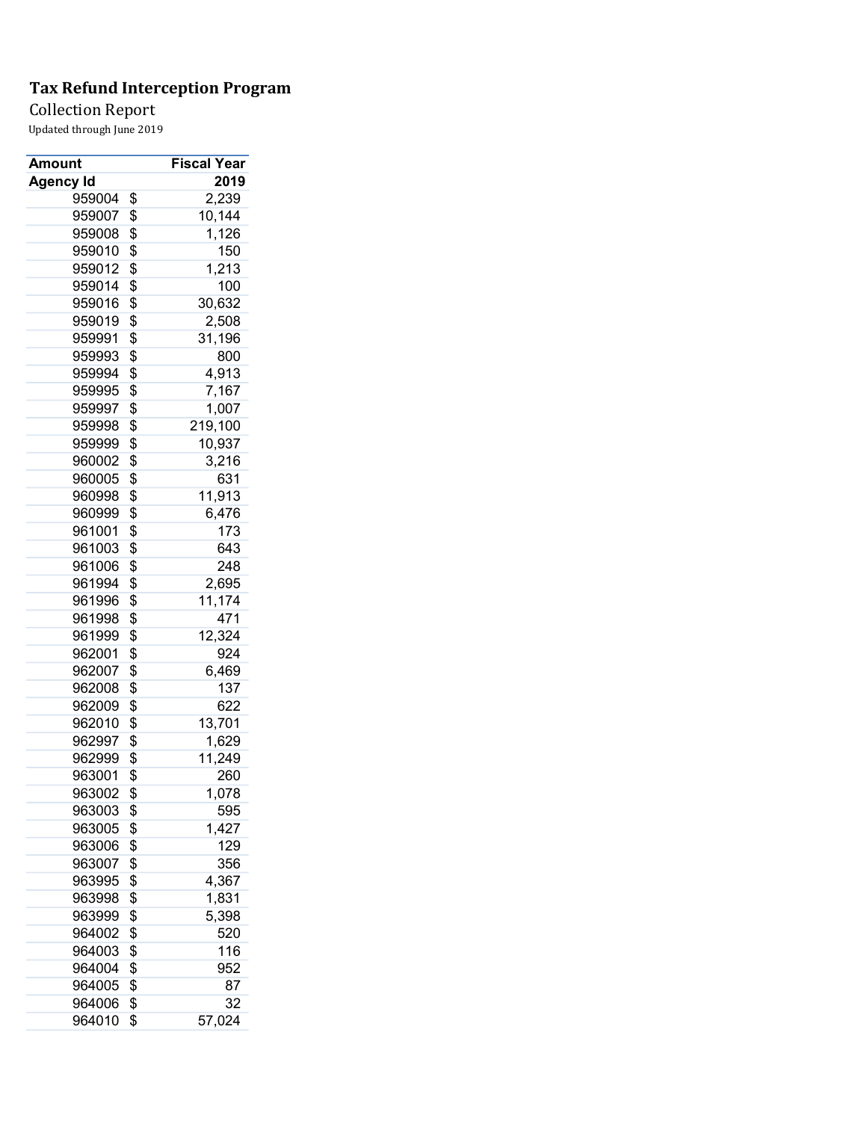Collection Report

| Amount           | <b>Fiscal Year</b> |
|------------------|--------------------|
| <b>Agency Id</b> | 2019               |
| 959004           | \$<br>2,239        |
| 959007           | \$<br>10,144       |
| 959008           | \$<br>1,126        |
| 959010           | \$<br>150          |
| 959012           | \$<br>1,213        |
| 959014           | \$<br>100          |
| 959016           | \$<br>30,632       |
| 959019           | \$<br>2,508        |
| 959991           | \$<br>31,196       |
| 959993           | \$<br>800          |
| 959994           | \$<br>4,913        |
| 959995           | \$<br>7,167        |
| 959997           | \$<br>1,007        |
| 959998           | \$<br>219,100      |
| 959999           | \$<br>10,937       |
| 960002           | \$<br>3,216        |
| 960005           | \$<br>631          |
| 960998           | \$<br>11,913       |
| 960999           | \$<br>6,476        |
| 961001           | \$<br>173          |
| 961003           | \$<br>643          |
| 961006           | \$<br>248          |
| 961994           | \$<br>2,695        |
| 961996           | \$<br>11,174       |
| 961998           | \$<br>471          |
| 961999           | \$<br>12,324       |
| 962001           | \$<br>924          |
| 962007           | \$<br>6,469        |
| 962008           | \$<br>137          |
| 962009           | \$<br>622          |
| 962010           | \$<br>13,701       |
| 962997           | \$<br>1,629        |
| 962999           | \$<br>11,249       |
| 963001           | \$<br>260          |
|                  |                    |
| 963002           | \$<br>1,078        |
| 963003           | \$<br>595          |
| 963005           | \$<br>1,427        |
| 963006           | \$<br>129          |
| 963007           | \$<br>356          |
| 963995           | \$<br>4,367        |
| 963998           | \$<br>1,831        |
| 963999           | \$<br>5,398        |
| 964002           | \$<br>520          |
| 964003           | \$<br>116          |
| 964004           | \$<br>952          |
| 964005           | \$<br>87           |
| 964006           | \$<br>32           |
| 964010           | \$<br>57,024       |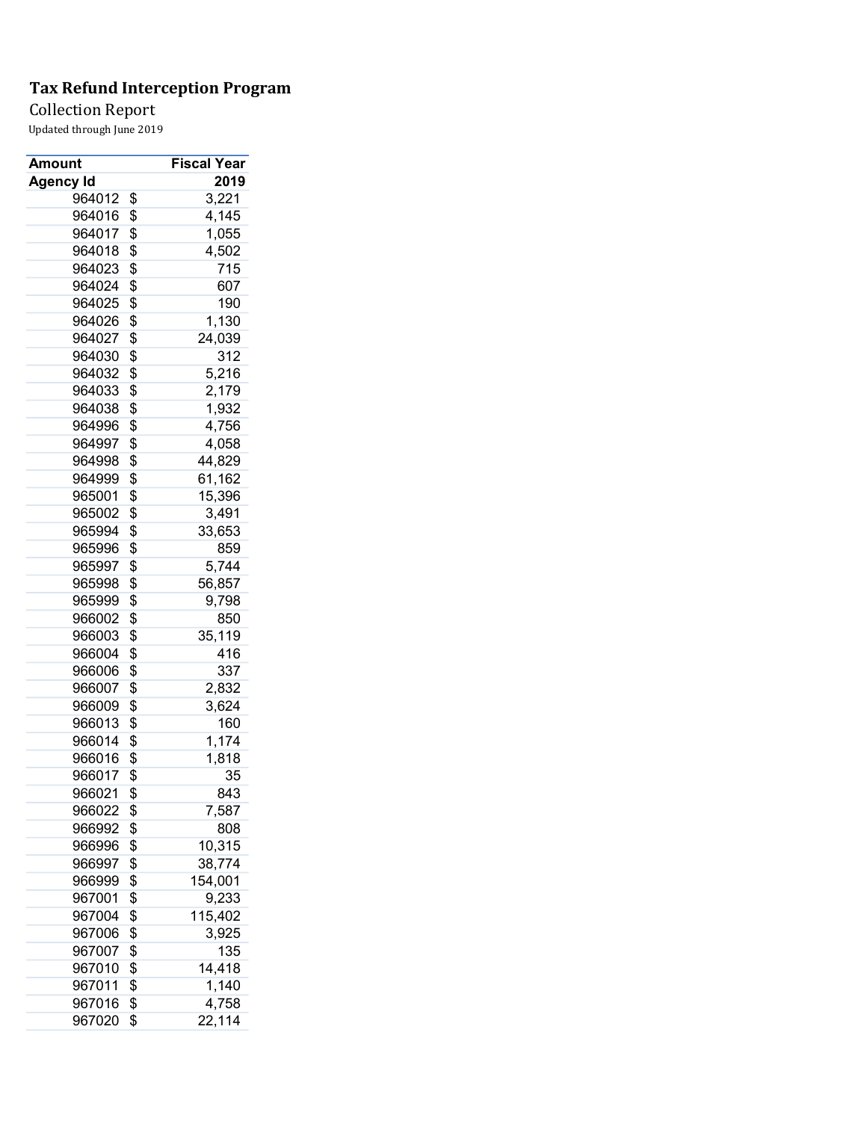Collection Report

| Amount           | <b>Fiscal Year</b> |
|------------------|--------------------|
| <b>Agency Id</b> | 2019               |
| 964012           | \$<br>3,221        |
| 964016           | \$<br>4,145        |
| 964017           | \$<br>1,055        |
| 964018           | \$<br>4,502        |
| 964023           | \$<br>715          |
| 964024           | \$<br>607          |
| 964025           | \$<br>190          |
| 964026           | \$<br>1,130        |
| 964027           | \$<br>24,039       |
| 964030           | \$<br>312          |
| 964032           | \$<br>5,216        |
| 964033           | \$<br>2,179        |
| 964038           | \$<br>1,932        |
| 964996           | \$<br>4,756        |
| 964997           | \$<br>4,058        |
| 964998           | \$<br>44,829       |
| 964999           | \$<br>61,162       |
| 965001           | \$<br>15,396       |
| 965002           | \$<br>3,491        |
| 965994           | \$<br>33,653       |
| 965996           | \$<br>859          |
| 965997           | \$<br>5,744        |
| 965998           | \$<br>56,857       |
| 965999           | \$<br>9,798        |
| 966002           | \$<br>850          |
| 966003           | \$<br>35,119       |
| 966004           | \$<br>416          |
| 966006           | \$<br>337          |
| 966007           | \$<br>2,832        |
| 966009           | \$<br>3,624        |
| 966013           | \$<br>160          |
| 966014           | \$<br>1,174        |
| 966016           | \$<br>1,818        |
| 966017           | \$<br>35           |
| 966021           | \$<br>843          |
| 966022           | \$<br>7,587        |
| 966992           | \$<br>808          |
| 966996           | \$<br>10,315       |
| 966997           | \$<br>38,774       |
| 966999           | \$<br>154,001      |
| 967001           | \$<br>9,233        |
| 967004           | \$<br>115,402      |
| 967006           | \$<br>3,925        |
| 967007           | \$<br>135          |
| 967010           | \$<br>14,418       |
| 967011           | \$<br>1,140        |
| 967016           | \$<br>4,758        |
| 967020           | \$<br>22,114       |
|                  |                    |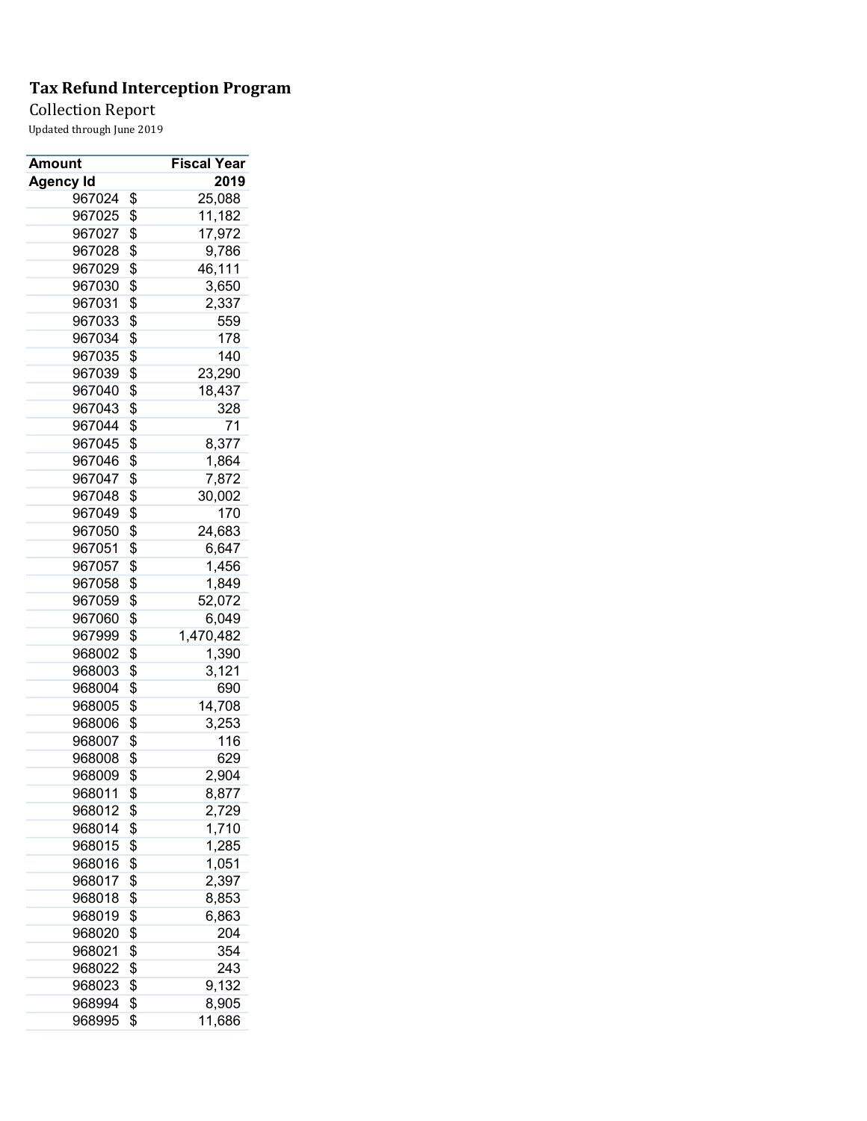Collection Report

| Amount           | <b>Fiscal Year</b> |
|------------------|--------------------|
| <b>Agency Id</b> | 2019               |
| 967024           | \$<br>25,088       |
| 967025           | \$<br>11,182       |
| 967027           | \$<br>17,972       |
| 967028           | \$<br>9,786        |
| 967029           | \$<br>46,111       |
| 967030           | \$<br>3,650        |
| 967031           | \$<br>2,337        |
| 967033           | \$<br>559          |
| 967034           | \$<br>178          |
| 967035           | \$<br>140          |
| 967039           | \$<br>23,290       |
| 967040           | \$<br>18,437       |
| 967043           | \$<br>328          |
| 967044           | \$<br>71           |
| 967045           | \$<br>8,377        |
| 967046           | \$<br>1,864        |
| 967047           | \$<br>7,872        |
| 967048           | \$<br>30,002       |
| 967049           | \$<br>170          |
| 967050           | \$<br>24,683       |
| 967051           | \$<br>6,647        |
| 967057           | \$<br>1,456        |
| 967058           | \$<br>1,849        |
| 967059           | \$<br>52,072       |
| 967060           | \$<br>6,049        |
| 967999           | \$<br>1,470,482    |
| 968002           | \$<br>1,390        |
| 968003           | \$<br>3,121        |
| 968004           | \$<br>690          |
| 968005           | \$<br>14,708       |
| 968006           | \$<br>3,253        |
| 968007           | \$<br>116          |
| 968008           | \$<br>629          |
| 968009           | \$<br>2,904        |
| 968011           | \$<br>8,877        |
| 968012           | \$<br>2,729        |
| 968014           | \$<br>1,710        |
| 968015           | \$<br>1,285        |
| 968016           | \$<br>1,051        |
| 968017           | \$<br>2,397        |
| 968018           | \$<br>8,853        |
| 968019           | \$<br>6,863        |
| 968020           | \$<br>204          |
| 968021           | \$<br>354          |
| 968022           | \$<br>243          |
| 968023           | \$<br>9,132        |
| 968994           | \$<br>8,905        |
|                  | \$                 |
| 968995           | 11,686             |